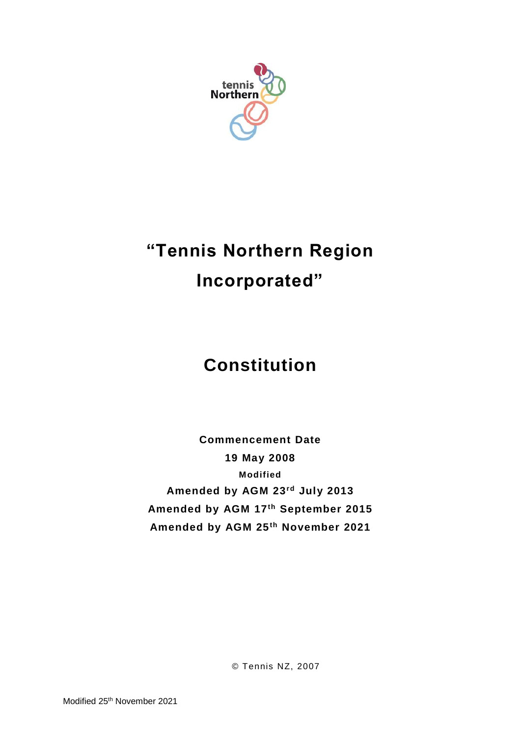

# **"Tennis Northern Region Incorporated"**

## **Constitution**

**Commencement Date 19 May 2008 Modified Amended by AGM 23rd July 2013 Amended by AGM 17th September 2015 Amended by AGM 25th November 2021**

© Tennis NZ, 2007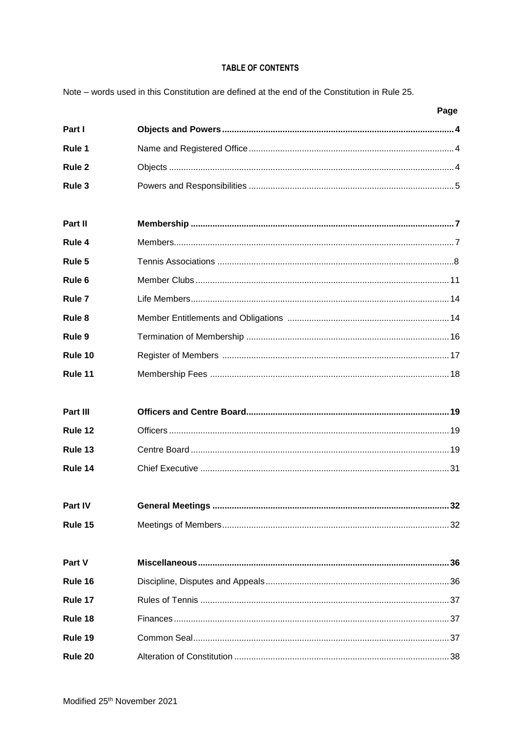## TABLE OF CONTENTS

Note – words used in this Constitution are defined at the end of the Constitution in Rule 25.

|                   | Page |
|-------------------|------|
| Part I            |      |
| Rule 1            |      |
| Rule <sub>2</sub> |      |
| Rule 3            |      |
|                   |      |
| Part II           |      |
| Rule 4            |      |
| Rule 5            |      |
| Rule <sub>6</sub> |      |
| Rule <sub>7</sub> |      |
| Rule 8            |      |
| Rule 9            |      |
| Rule 10           |      |
| Rule 11           |      |
|                   |      |
| Part III          |      |
| Rule 12           |      |
| Rule 13           |      |
| Rule 14           |      |
|                   |      |
| Part IV           |      |
| Rule 15           |      |
|                   |      |
| Part V            |      |
| Rule 16           |      |
| Rule 17           |      |
| Rule 18           |      |
| Rule 19           |      |
| Rule 20           |      |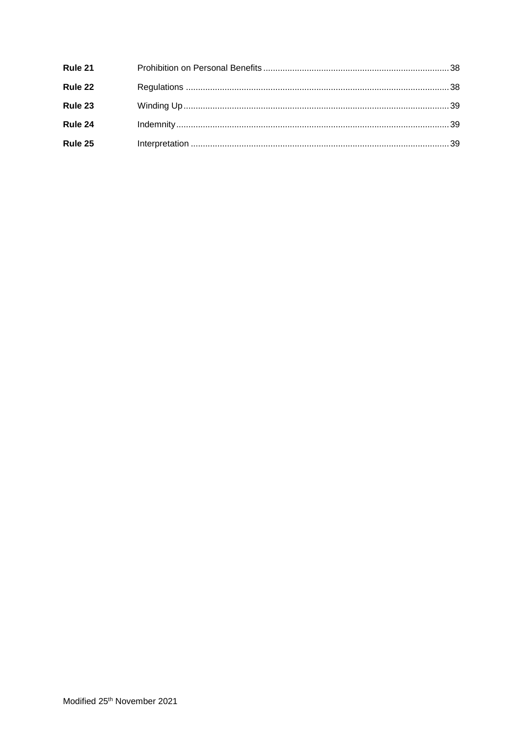| Rule 21 |  |
|---------|--|
| Rule 22 |  |
| Rule 23 |  |
| Rule 24 |  |
| Rule 25 |  |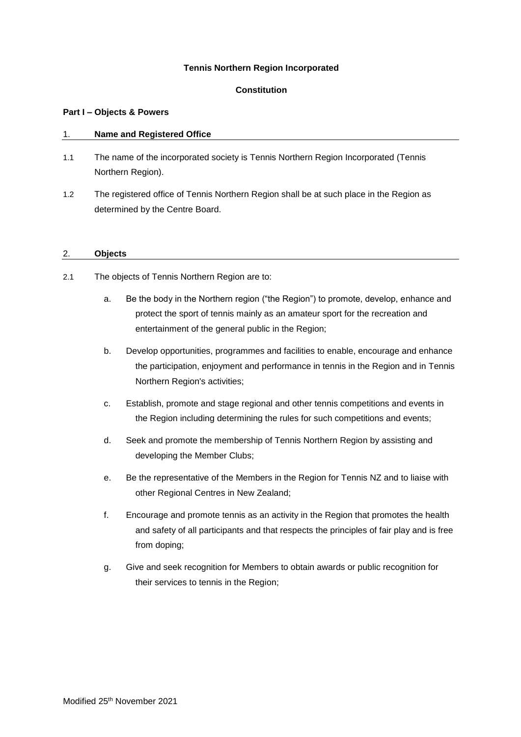## **Tennis Northern Region Incorporated**

## **Constitution**

## **Part I – Objects & Powers**

## 1. **Name and Registered Office**

- 1.1 The name of the incorporated society is Tennis Northern Region Incorporated (Tennis Northern Region).
- 1.2 The registered office of Tennis Northern Region shall be at such place in the Region as determined by the Centre Board.

## 2. **Objects**

- 2.1 The objects of Tennis Northern Region are to:
	- a. Be the body in the Northern region ("the Region") to promote, develop, enhance and protect the sport of tennis mainly as an amateur sport for the recreation and entertainment of the general public in the Region;
	- b. Develop opportunities, programmes and facilities to enable, encourage and enhance the participation, enjoyment and performance in tennis in the Region and in Tennis Northern Region's activities;
	- c. Establish, promote and stage regional and other tennis competitions and events in the Region including determining the rules for such competitions and events;
	- d. Seek and promote the membership of Tennis Northern Region by assisting and developing the Member Clubs;
	- e. Be the representative of the Members in the Region for Tennis NZ and to liaise with other Regional Centres in New Zealand;
	- f. Encourage and promote tennis as an activity in the Region that promotes the health and safety of all participants and that respects the principles of fair play and is free from doping;
	- g. Give and seek recognition for Members to obtain awards or public recognition for their services to tennis in the Region;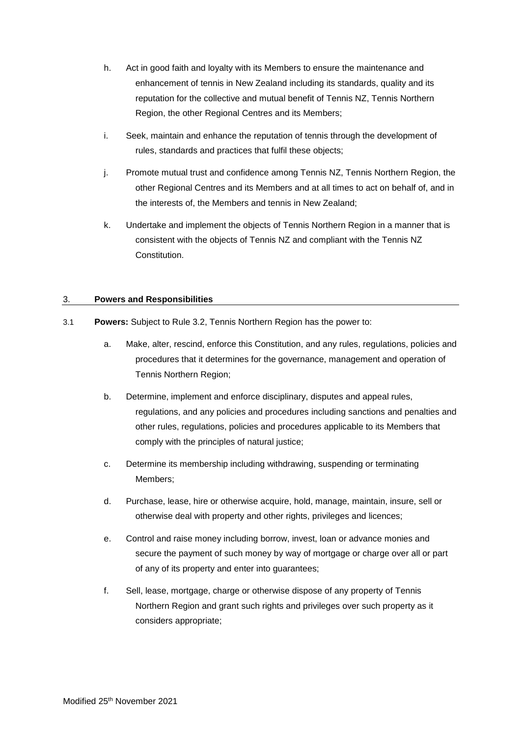- h. Act in good faith and loyalty with its Members to ensure the maintenance and enhancement of tennis in New Zealand including its standards, quality and its reputation for the collective and mutual benefit of Tennis NZ, Tennis Northern Region, the other Regional Centres and its Members;
- i. Seek, maintain and enhance the reputation of tennis through the development of rules, standards and practices that fulfil these objects;
- j. Promote mutual trust and confidence among Tennis NZ, Tennis Northern Region, the other Regional Centres and its Members and at all times to act on behalf of, and in the interests of, the Members and tennis in New Zealand;
- k. Undertake and implement the objects of Tennis Northern Region in a manner that is consistent with the objects of Tennis NZ and compliant with the Tennis NZ Constitution.

## 3. **Powers and Responsibilities**

- 3.1 **Powers:** Subject to Rule 3.2, Tennis Northern Region has the power to:
	- a. Make, alter, rescind, enforce this Constitution, and any rules, regulations, policies and procedures that it determines for the governance, management and operation of Tennis Northern Region;
	- b. Determine, implement and enforce disciplinary, disputes and appeal rules, regulations, and any policies and procedures including sanctions and penalties and other rules, regulations, policies and procedures applicable to its Members that comply with the principles of natural justice;
	- c. Determine its membership including withdrawing, suspending or terminating Members;
	- d. Purchase, lease, hire or otherwise acquire, hold, manage, maintain, insure, sell or otherwise deal with property and other rights, privileges and licences;
	- e. Control and raise money including borrow, invest, loan or advance monies and secure the payment of such money by way of mortgage or charge over all or part of any of its property and enter into guarantees;
	- f. Sell, lease, mortgage, charge or otherwise dispose of any property of Tennis Northern Region and grant such rights and privileges over such property as it considers appropriate;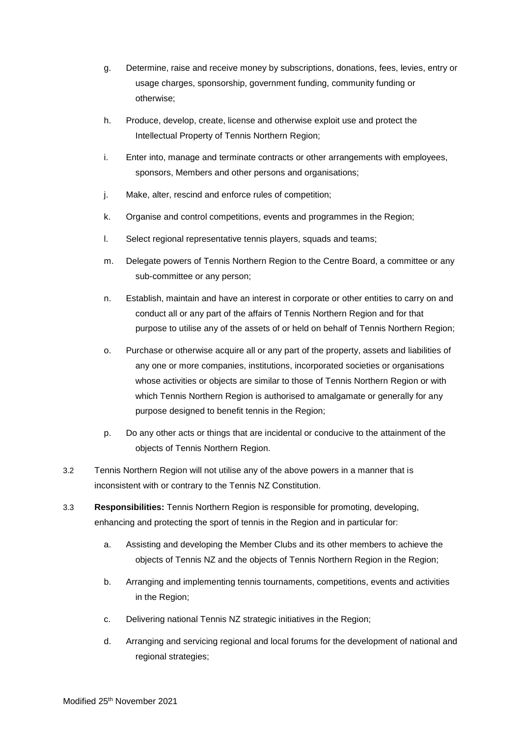- g. Determine, raise and receive money by subscriptions, donations, fees, levies, entry or usage charges, sponsorship, government funding, community funding or otherwise;
- h. Produce, develop, create, license and otherwise exploit use and protect the Intellectual Property of Tennis Northern Region;
- i. Enter into, manage and terminate contracts or other arrangements with employees, sponsors, Members and other persons and organisations;
- j. Make, alter, rescind and enforce rules of competition;
- k. Organise and control competitions, events and programmes in the Region;
- l. Select regional representative tennis players, squads and teams;
- m. Delegate powers of Tennis Northern Region to the Centre Board, a committee or any sub-committee or any person;
- n. Establish, maintain and have an interest in corporate or other entities to carry on and conduct all or any part of the affairs of Tennis Northern Region and for that purpose to utilise any of the assets of or held on behalf of Tennis Northern Region;
- o. Purchase or otherwise acquire all or any part of the property, assets and liabilities of any one or more companies, institutions, incorporated societies or organisations whose activities or objects are similar to those of Tennis Northern Region or with which Tennis Northern Region is authorised to amalgamate or generally for any purpose designed to benefit tennis in the Region;
- p. Do any other acts or things that are incidental or conducive to the attainment of the objects of Tennis Northern Region.
- 3.2 Tennis Northern Region will not utilise any of the above powers in a manner that is inconsistent with or contrary to the Tennis NZ Constitution.
- 3.3 **Responsibilities:** Tennis Northern Region is responsible for promoting, developing, enhancing and protecting the sport of tennis in the Region and in particular for:
	- a. Assisting and developing the Member Clubs and its other members to achieve the objects of Tennis NZ and the objects of Tennis Northern Region in the Region;
	- b. Arranging and implementing tennis tournaments, competitions, events and activities in the Region;
	- c. Delivering national Tennis NZ strategic initiatives in the Region;
	- d. Arranging and servicing regional and local forums for the development of national and regional strategies;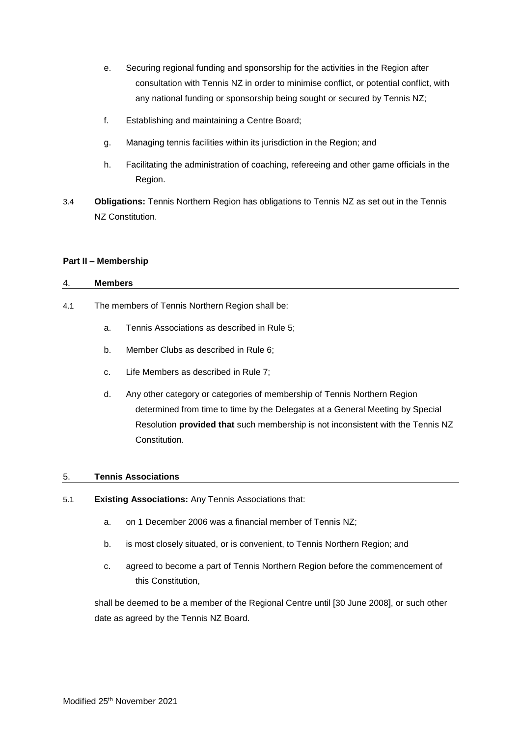- e. Securing regional funding and sponsorship for the activities in the Region after consultation with Tennis NZ in order to minimise conflict, or potential conflict, with any national funding or sponsorship being sought or secured by Tennis NZ;
- f. Establishing and maintaining a Centre Board;
- g. Managing tennis facilities within its jurisdiction in the Region; and
- h. Facilitating the administration of coaching, refereeing and other game officials in the Region.
- 3.4 **Obligations:** Tennis Northern Region has obligations to Tennis NZ as set out in the Tennis NZ Constitution.

## **Part II – Membership**

## 4. **Members**

- 4.1 The members of Tennis Northern Region shall be:
	- a. Tennis Associations as described in Rule 5;
	- b. Member Clubs as described in Rule 6;
	- c. Life Members as described in Rule 7;
	- d. Any other category or categories of membership of Tennis Northern Region determined from time to time by the Delegates at a General Meeting by Special Resolution **provided that** such membership is not inconsistent with the Tennis NZ Constitution.

## 5. **Tennis Associations**

- 5.1 **Existing Associations:** Any Tennis Associations that:
	- a. on 1 December 2006 was a financial member of Tennis NZ;
	- b. is most closely situated, or is convenient, to Tennis Northern Region; and
	- c. agreed to become a part of Tennis Northern Region before the commencement of this Constitution,

shall be deemed to be a member of the Regional Centre until [30 June 2008], or such other date as agreed by the Tennis NZ Board.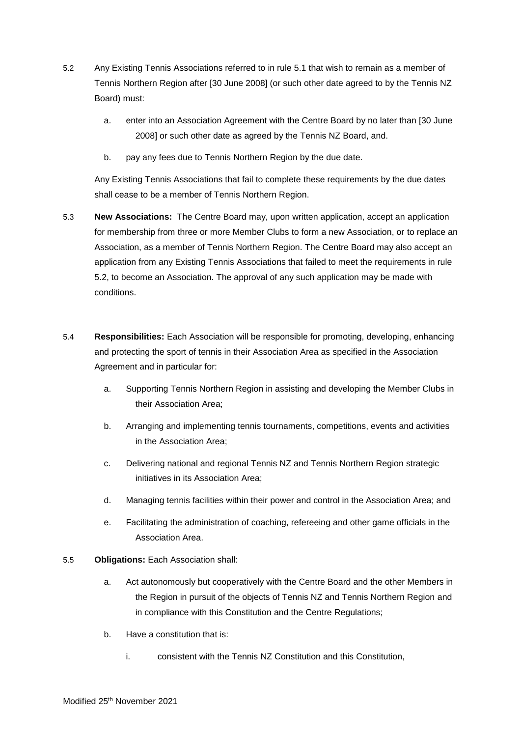- 5.2 Any Existing Tennis Associations referred to in rule 5.1 that wish to remain as a member of Tennis Northern Region after [30 June 2008] (or such other date agreed to by the Tennis NZ Board) must:
	- a. enter into an Association Agreement with the Centre Board by no later than [30 June 2008] or such other date as agreed by the Tennis NZ Board, and.
	- b. pay any fees due to Tennis Northern Region by the due date.

Any Existing Tennis Associations that fail to complete these requirements by the due dates shall cease to be a member of Tennis Northern Region.

- 5.3 **New Associations:** The Centre Board may, upon written application, accept an application for membership from three or more Member Clubs to form a new Association, or to replace an Association, as a member of Tennis Northern Region. The Centre Board may also accept an application from any Existing Tennis Associations that failed to meet the requirements in rule 5.2, to become an Association. The approval of any such application may be made with conditions.
- 5.4 **Responsibilities:** Each Association will be responsible for promoting, developing, enhancing and protecting the sport of tennis in their Association Area as specified in the Association Agreement and in particular for:
	- a. Supporting Tennis Northern Region in assisting and developing the Member Clubs in their Association Area;
	- b. Arranging and implementing tennis tournaments, competitions, events and activities in the Association Area;
	- c. Delivering national and regional Tennis NZ and Tennis Northern Region strategic initiatives in its Association Area;
	- d. Managing tennis facilities within their power and control in the Association Area; and
	- e. Facilitating the administration of coaching, refereeing and other game officials in the Association Area.
- 5.5 **Obligations:** Each Association shall:
	- a. Act autonomously but cooperatively with the Centre Board and the other Members in the Region in pursuit of the objects of Tennis NZ and Tennis Northern Region and in compliance with this Constitution and the Centre Regulations;
	- b. Have a constitution that is:
		- i. consistent with the Tennis NZ Constitution and this Constitution,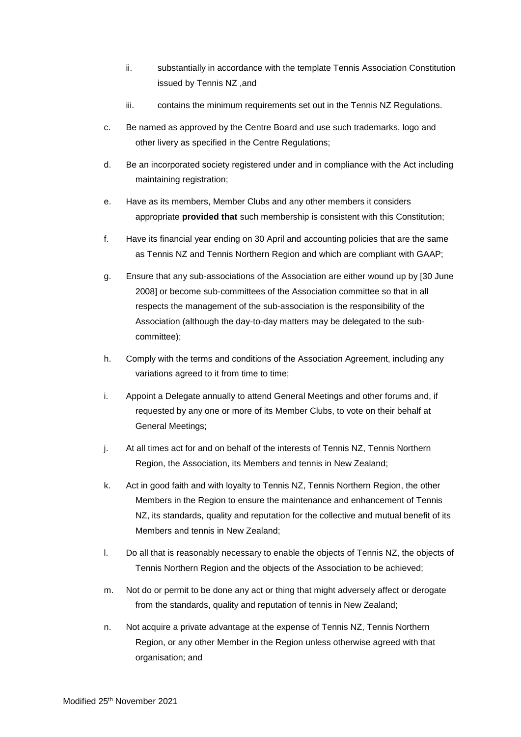- ii. substantially in accordance with the template Tennis Association Constitution issued by Tennis NZ ,and
- iii. contains the minimum requirements set out in the Tennis NZ Regulations.
- c. Be named as approved by the Centre Board and use such trademarks, logo and other livery as specified in the Centre Regulations;
- d. Be an incorporated society registered under and in compliance with the Act including maintaining registration:
- e. Have as its members, Member Clubs and any other members it considers appropriate **provided that** such membership is consistent with this Constitution;
- f. Have its financial year ending on 30 April and accounting policies that are the same as Tennis NZ and Tennis Northern Region and which are compliant with GAAP;
- g. Ensure that any sub-associations of the Association are either wound up by [30 June 2008] or become sub-committees of the Association committee so that in all respects the management of the sub-association is the responsibility of the Association (although the day-to-day matters may be delegated to the subcommittee);
- h. Comply with the terms and conditions of the Association Agreement, including any variations agreed to it from time to time;
- i. Appoint a Delegate annually to attend General Meetings and other forums and, if requested by any one or more of its Member Clubs, to vote on their behalf at General Meetings;
- j. At all times act for and on behalf of the interests of Tennis NZ, Tennis Northern Region, the Association, its Members and tennis in New Zealand;
- k. Act in good faith and with loyalty to Tennis NZ, Tennis Northern Region, the other Members in the Region to ensure the maintenance and enhancement of Tennis NZ, its standards, quality and reputation for the collective and mutual benefit of its Members and tennis in New Zealand;
- l. Do all that is reasonably necessary to enable the objects of Tennis NZ, the objects of Tennis Northern Region and the objects of the Association to be achieved;
- m. Not do or permit to be done any act or thing that might adversely affect or derogate from the standards, quality and reputation of tennis in New Zealand;
- n. Not acquire a private advantage at the expense of Tennis NZ, Tennis Northern Region, or any other Member in the Region unless otherwise agreed with that organisation; and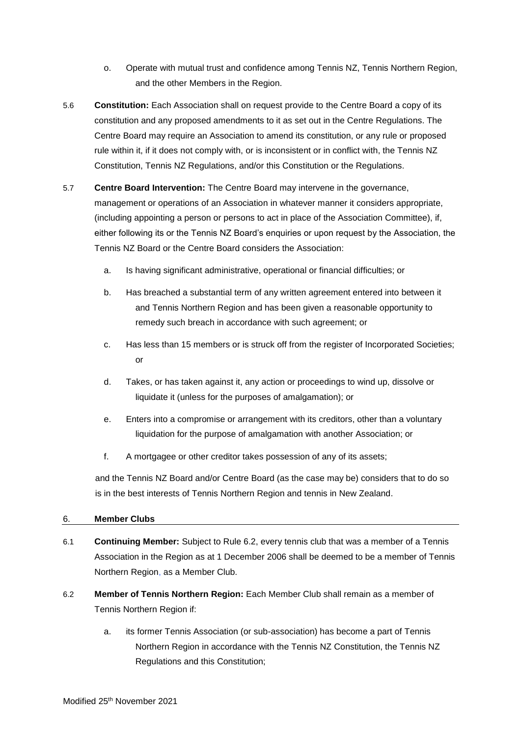- o. Operate with mutual trust and confidence among Tennis NZ, Tennis Northern Region, and the other Members in the Region.
- 5.6 **Constitution:** Each Association shall on request provide to the Centre Board a copy of its constitution and any proposed amendments to it as set out in the Centre Regulations. The Centre Board may require an Association to amend its constitution, or any rule or proposed rule within it, if it does not comply with, or is inconsistent or in conflict with, the Tennis NZ Constitution, Tennis NZ Regulations, and/or this Constitution or the Regulations.
- 5.7 **Centre Board Intervention:** The Centre Board may intervene in the governance, management or operations of an Association in whatever manner it considers appropriate, (including appointing a person or persons to act in place of the Association Committee), if, either following its or the Tennis NZ Board's enquiries or upon request by the Association, the Tennis NZ Board or the Centre Board considers the Association:
	- a. Is having significant administrative, operational or financial difficulties; or
	- b. Has breached a substantial term of any written agreement entered into between it and Tennis Northern Region and has been given a reasonable opportunity to remedy such breach in accordance with such agreement; or
	- c. Has less than 15 members or is struck off from the register of Incorporated Societies; or
	- d. Takes, or has taken against it, any action or proceedings to wind up, dissolve or liquidate it (unless for the purposes of amalgamation); or
	- e. Enters into a compromise or arrangement with its creditors, other than a voluntary liquidation for the purpose of amalgamation with another Association; or
	- f. A mortgagee or other creditor takes possession of any of its assets;

and the Tennis NZ Board and/or Centre Board (as the case may be) considers that to do so is in the best interests of Tennis Northern Region and tennis in New Zealand.

## 6. **Member Clubs**

- 6.1 **Continuing Member:** Subject to Rule 6.2, every tennis club that was a member of a Tennis Association in the Region as at 1 December 2006 shall be deemed to be a member of Tennis Northern Region, as a Member Club.
- 6.2 **Member of Tennis Northern Region:** Each Member Club shall remain as a member of Tennis Northern Region if:
	- a. its former Tennis Association (or sub-association) has become a part of Tennis Northern Region in accordance with the Tennis NZ Constitution, the Tennis NZ Regulations and this Constitution;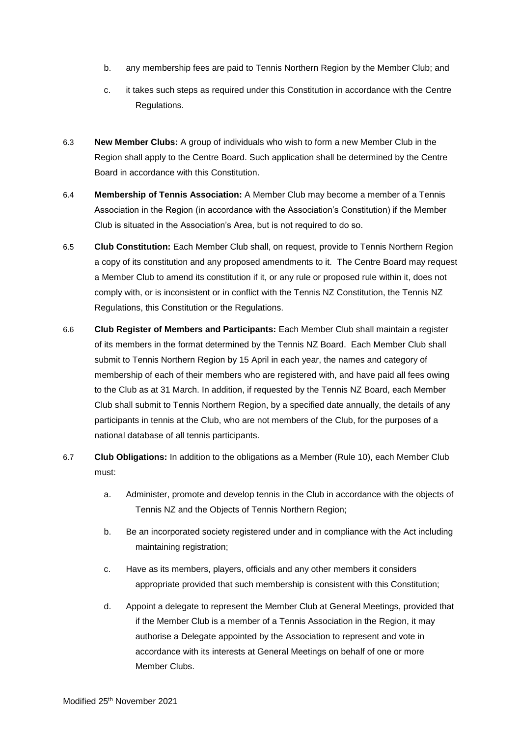- b. any membership fees are paid to Tennis Northern Region by the Member Club; and
- c. it takes such steps as required under this Constitution in accordance with the Centre Regulations.
- 6.3 **New Member Clubs:** A group of individuals who wish to form a new Member Club in the Region shall apply to the Centre Board. Such application shall be determined by the Centre Board in accordance with this Constitution.
- 6.4 **Membership of Tennis Association:** A Member Club may become a member of a Tennis Association in the Region (in accordance with the Association's Constitution) if the Member Club is situated in the Association's Area, but is not required to do so.
- 6.5 **Club Constitution:** Each Member Club shall, on request, provide to Tennis Northern Region a copy of its constitution and any proposed amendments to it. The Centre Board may request a Member Club to amend its constitution if it, or any rule or proposed rule within it, does not comply with, or is inconsistent or in conflict with the Tennis NZ Constitution, the Tennis NZ Regulations, this Constitution or the Regulations.
- 6.6 **Club Register of Members and Participants:** Each Member Club shall maintain a register of its members in the format determined by the Tennis NZ Board. Each Member Club shall submit to Tennis Northern Region by 15 April in each year, the names and category of membership of each of their members who are registered with, and have paid all fees owing to the Club as at 31 March. In addition, if requested by the Tennis NZ Board, each Member Club shall submit to Tennis Northern Region, by a specified date annually, the details of any participants in tennis at the Club, who are not members of the Club, for the purposes of a national database of all tennis participants.
- 6.7 **Club Obligations:** In addition to the obligations as a Member (Rule 10), each Member Club must:
	- a. Administer, promote and develop tennis in the Club in accordance with the objects of Tennis NZ and the Objects of Tennis Northern Region;
	- b. Be an incorporated society registered under and in compliance with the Act including maintaining registration;
	- c. Have as its members, players, officials and any other members it considers appropriate provided that such membership is consistent with this Constitution;
	- d. Appoint a delegate to represent the Member Club at General Meetings, provided that if the Member Club is a member of a Tennis Association in the Region, it may authorise a Delegate appointed by the Association to represent and vote in accordance with its interests at General Meetings on behalf of one or more Member Clubs.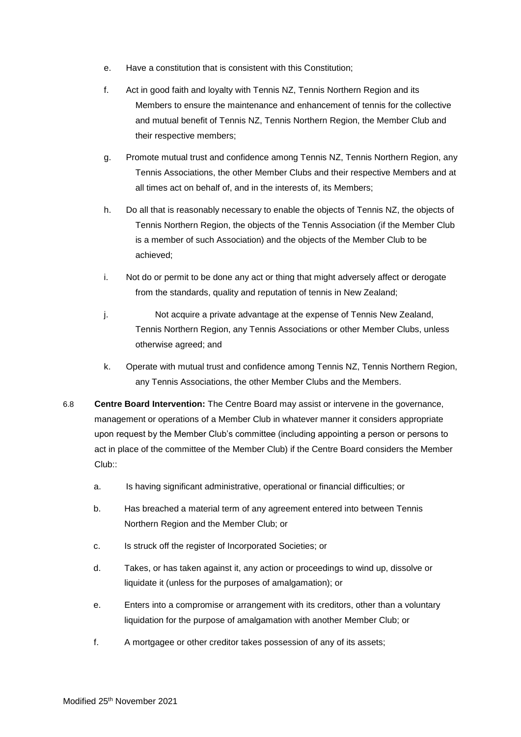- e. Have a constitution that is consistent with this Constitution;
- f. Act in good faith and loyalty with Tennis NZ, Tennis Northern Region and its Members to ensure the maintenance and enhancement of tennis for the collective and mutual benefit of Tennis NZ, Tennis Northern Region, the Member Club and their respective members;
- g. Promote mutual trust and confidence among Tennis NZ, Tennis Northern Region, any Tennis Associations, the other Member Clubs and their respective Members and at all times act on behalf of, and in the interests of, its Members;
- h. Do all that is reasonably necessary to enable the objects of Tennis NZ, the objects of Tennis Northern Region, the objects of the Tennis Association (if the Member Club is a member of such Association) and the objects of the Member Club to be achieved;
- i. Not do or permit to be done any act or thing that might adversely affect or derogate from the standards, quality and reputation of tennis in New Zealand;
- j. Not acquire a private advantage at the expense of Tennis New Zealand, Tennis Northern Region, any Tennis Associations or other Member Clubs, unless otherwise agreed; and
- k. Operate with mutual trust and confidence among Tennis NZ, Tennis Northern Region, any Tennis Associations, the other Member Clubs and the Members.
- 6.8 **Centre Board Intervention:** The Centre Board may assist or intervene in the governance, management or operations of a Member Club in whatever manner it considers appropriate upon request by the Member Club's committee (including appointing a person or persons to act in place of the committee of the Member Club) if the Centre Board considers the Member Club::
	- a. Is having significant administrative, operational or financial difficulties; or
	- b. Has breached a material term of any agreement entered into between Tennis Northern Region and the Member Club; or
	- c. Is struck off the register of Incorporated Societies; or
	- d. Takes, or has taken against it, any action or proceedings to wind up, dissolve or liquidate it (unless for the purposes of amalgamation); or
	- e. Enters into a compromise or arrangement with its creditors, other than a voluntary liquidation for the purpose of amalgamation with another Member Club; or
	- f. A mortgagee or other creditor takes possession of any of its assets;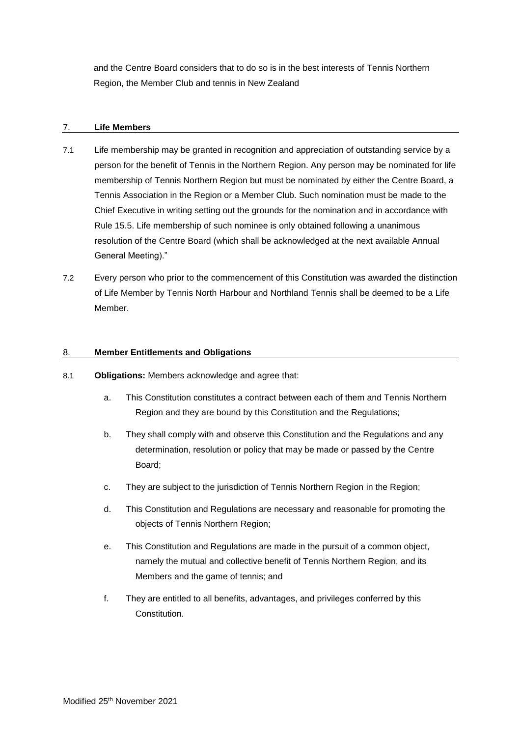and the Centre Board considers that to do so is in the best interests of Tennis Northern Region, the Member Club and tennis in New Zealand

## 7. **Life Members**

- 7.1 Life membership may be granted in recognition and appreciation of outstanding service by a person for the benefit of Tennis in the Northern Region. Any person may be nominated for life membership of Tennis Northern Region but must be nominated by either the Centre Board, a Tennis Association in the Region or a Member Club. Such nomination must be made to the Chief Executive in writing setting out the grounds for the nomination and in accordance with Rule 15.5. Life membership of such nominee is only obtained following a unanimous resolution of the Centre Board (which shall be acknowledged at the next available Annual General Meeting)."
- 7.2 Every person who prior to the commencement of this Constitution was awarded the distinction of Life Member by Tennis North Harbour and Northland Tennis shall be deemed to be a Life Member.

## 8. **Member Entitlements and Obligations**

- 8.1 **Obligations:** Members acknowledge and agree that:
	- a. This Constitution constitutes a contract between each of them and Tennis Northern Region and they are bound by this Constitution and the Regulations;
	- b. They shall comply with and observe this Constitution and the Regulations and any determination, resolution or policy that may be made or passed by the Centre Board;
	- c. They are subject to the jurisdiction of Tennis Northern Region in the Region;
	- d. This Constitution and Regulations are necessary and reasonable for promoting the objects of Tennis Northern Region;
	- e. This Constitution and Regulations are made in the pursuit of a common object, namely the mutual and collective benefit of Tennis Northern Region, and its Members and the game of tennis; and
	- f. They are entitled to all benefits, advantages, and privileges conferred by this Constitution.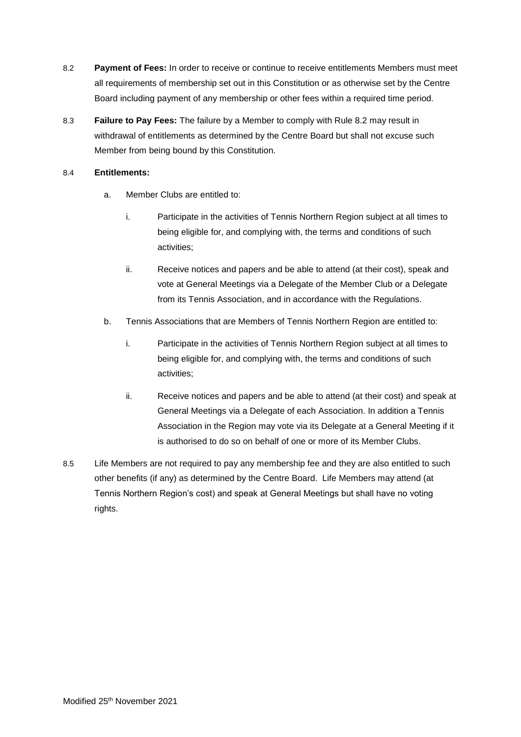- 8.2 **Payment of Fees:** In order to receive or continue to receive entitlements Members must meet all requirements of membership set out in this Constitution or as otherwise set by the Centre Board including payment of any membership or other fees within a required time period.
- 8.3 **Failure to Pay Fees:** The failure by a Member to comply with Rule 8.2 may result in withdrawal of entitlements as determined by the Centre Board but shall not excuse such Member from being bound by this Constitution.

## 8.4 **Entitlements:**

- a. Member Clubs are entitled to:
	- i. Participate in the activities of Tennis Northern Region subject at all times to being eligible for, and complying with, the terms and conditions of such activities;
	- ii. Receive notices and papers and be able to attend (at their cost), speak and vote at General Meetings via a Delegate of the Member Club or a Delegate from its Tennis Association, and in accordance with the Regulations.
- b. Tennis Associations that are Members of Tennis Northern Region are entitled to:
	- i. Participate in the activities of Tennis Northern Region subject at all times to being eligible for, and complying with, the terms and conditions of such activities;
	- ii. Receive notices and papers and be able to attend (at their cost) and speak at General Meetings via a Delegate of each Association. In addition a Tennis Association in the Region may vote via its Delegate at a General Meeting if it is authorised to do so on behalf of one or more of its Member Clubs.
- 8.5 Life Members are not required to pay any membership fee and they are also entitled to such other benefits (if any) as determined by the Centre Board. Life Members may attend (at Tennis Northern Region's cost) and speak at General Meetings but shall have no voting rights.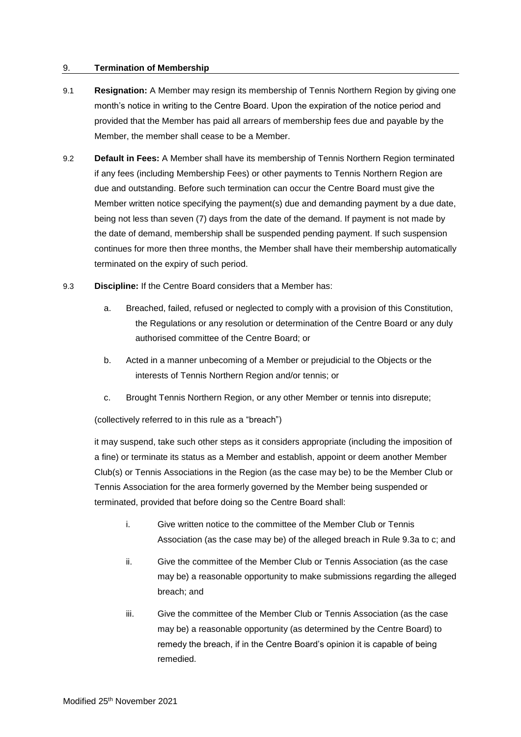## 9. **Termination of Membership**

- 9.1 **Resignation:** A Member may resign its membership of Tennis Northern Region by giving one month's notice in writing to the Centre Board. Upon the expiration of the notice period and provided that the Member has paid all arrears of membership fees due and payable by the Member, the member shall cease to be a Member.
- 9.2 **Default in Fees:** A Member shall have its membership of Tennis Northern Region terminated if any fees (including Membership Fees) or other payments to Tennis Northern Region are due and outstanding. Before such termination can occur the Centre Board must give the Member written notice specifying the payment(s) due and demanding payment by a due date, being not less than seven (7) days from the date of the demand. If payment is not made by the date of demand, membership shall be suspended pending payment. If such suspension continues for more then three months, the Member shall have their membership automatically terminated on the expiry of such period.
- 9.3 **Discipline:** If the Centre Board considers that a Member has:
	- a. Breached, failed, refused or neglected to comply with a provision of this Constitution, the Regulations or any resolution or determination of the Centre Board or any duly authorised committee of the Centre Board; or
	- b. Acted in a manner unbecoming of a Member or prejudicial to the Objects or the interests of Tennis Northern Region and/or tennis; or
	- c. Brought Tennis Northern Region, or any other Member or tennis into disrepute;

(collectively referred to in this rule as a "breach")

it may suspend, take such other steps as it considers appropriate (including the imposition of a fine) or terminate its status as a Member and establish, appoint or deem another Member Club(s) or Tennis Associations in the Region (as the case may be) to be the Member Club or Tennis Association for the area formerly governed by the Member being suspended or terminated, provided that before doing so the Centre Board shall:

- i. Give written notice to the committee of the Member Club or Tennis Association (as the case may be) of the alleged breach in Rule 9.3a to c; and
- ii. Give the committee of the Member Club or Tennis Association (as the case may be) a reasonable opportunity to make submissions regarding the alleged breach; and
- iii. Give the committee of the Member Club or Tennis Association (as the case may be) a reasonable opportunity (as determined by the Centre Board) to remedy the breach, if in the Centre Board's opinion it is capable of being remedied.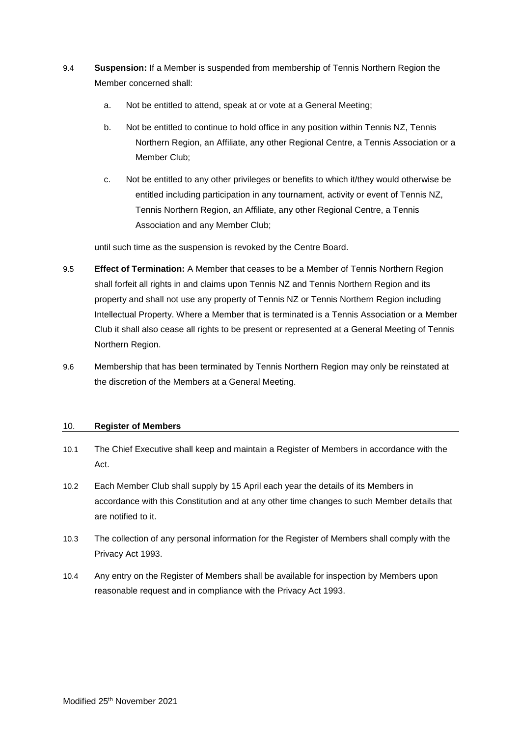- 9.4 **Suspension:** If a Member is suspended from membership of Tennis Northern Region the Member concerned shall:
	- a. Not be entitled to attend, speak at or vote at a General Meeting;
	- b. Not be entitled to continue to hold office in any position within Tennis NZ, Tennis Northern Region, an Affiliate, any other Regional Centre, a Tennis Association or a Member Club;
	- c. Not be entitled to any other privileges or benefits to which it/they would otherwise be entitled including participation in any tournament, activity or event of Tennis NZ, Tennis Northern Region, an Affiliate, any other Regional Centre, a Tennis Association and any Member Club;

until such time as the suspension is revoked by the Centre Board.

- 9.5 **Effect of Termination:** A Member that ceases to be a Member of Tennis Northern Region shall forfeit all rights in and claims upon Tennis NZ and Tennis Northern Region and its property and shall not use any property of Tennis NZ or Tennis Northern Region including Intellectual Property. Where a Member that is terminated is a Tennis Association or a Member Club it shall also cease all rights to be present or represented at a General Meeting of Tennis Northern Region.
- 9.6 Membership that has been terminated by Tennis Northern Region may only be reinstated at the discretion of the Members at a General Meeting.

## 10. **Register of Members**

- 10.1 The Chief Executive shall keep and maintain a Register of Members in accordance with the Act.
- 10.2 Each Member Club shall supply by 15 April each year the details of its Members in accordance with this Constitution and at any other time changes to such Member details that are notified to it.
- 10.3 The collection of any personal information for the Register of Members shall comply with the Privacy Act 1993.
- 10.4 Any entry on the Register of Members shall be available for inspection by Members upon reasonable request and in compliance with the Privacy Act 1993.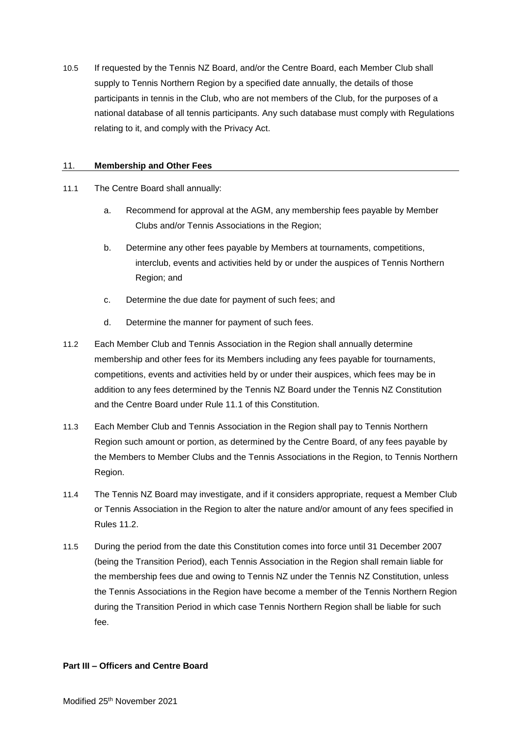10.5 If requested by the Tennis NZ Board, and/or the Centre Board, each Member Club shall supply to Tennis Northern Region by a specified date annually, the details of those participants in tennis in the Club, who are not members of the Club, for the purposes of a national database of all tennis participants. Any such database must comply with Regulations relating to it, and comply with the Privacy Act.

## 11. **Membership and Other Fees**

- 11.1 The Centre Board shall annually:
	- a. Recommend for approval at the AGM, any membership fees payable by Member Clubs and/or Tennis Associations in the Region;
	- b. Determine any other fees payable by Members at tournaments, competitions, interclub, events and activities held by or under the auspices of Tennis Northern Region; and
	- c. Determine the due date for payment of such fees; and
	- d. Determine the manner for payment of such fees.
- 11.2 Each Member Club and Tennis Association in the Region shall annually determine membership and other fees for its Members including any fees payable for tournaments, competitions, events and activities held by or under their auspices, which fees may be in addition to any fees determined by the Tennis NZ Board under the Tennis NZ Constitution and the Centre Board under Rule 11.1 of this Constitution.
- 11.3 Each Member Club and Tennis Association in the Region shall pay to Tennis Northern Region such amount or portion, as determined by the Centre Board, of any fees payable by the Members to Member Clubs and the Tennis Associations in the Region, to Tennis Northern Region.
- 11.4 The Tennis NZ Board may investigate, and if it considers appropriate, request a Member Club or Tennis Association in the Region to alter the nature and/or amount of any fees specified in Rules 11.2.
- 11.5 During the period from the date this Constitution comes into force until 31 December 2007 (being the Transition Period), each Tennis Association in the Region shall remain liable for the membership fees due and owing to Tennis NZ under the Tennis NZ Constitution, unless the Tennis Associations in the Region have become a member of the Tennis Northern Region during the Transition Period in which case Tennis Northern Region shall be liable for such fee.

## **Part III – Officers and Centre Board**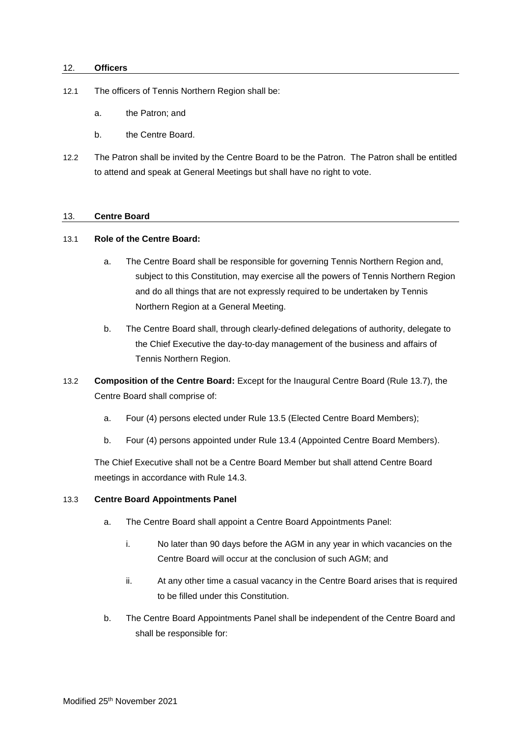#### 12. **Officers**

- 12.1 The officers of Tennis Northern Region shall be:
	- a. the Patron; and
	- b. the Centre Board.
- 12.2 The Patron shall be invited by the Centre Board to be the Patron. The Patron shall be entitled to attend and speak at General Meetings but shall have no right to vote.

#### 13. **Centre Board**

## 13.1 **Role of the Centre Board:**

- a. The Centre Board shall be responsible for governing Tennis Northern Region and, subject to this Constitution, may exercise all the powers of Tennis Northern Region and do all things that are not expressly required to be undertaken by Tennis Northern Region at a General Meeting.
- b. The Centre Board shall, through clearly-defined delegations of authority, delegate to the Chief Executive the day-to-day management of the business and affairs of Tennis Northern Region.
- 13.2 **Composition of the Centre Board:** Except for the Inaugural Centre Board (Rule 13.7), the Centre Board shall comprise of:
	- a. Four (4) persons elected under Rule 13.5 (Elected Centre Board Members);
	- b. Four (4) persons appointed under Rule 13.4 (Appointed Centre Board Members).

The Chief Executive shall not be a Centre Board Member but shall attend Centre Board meetings in accordance with Rule 14.3.

#### 13.3 **Centre Board Appointments Panel**

- a. The Centre Board shall appoint a Centre Board Appointments Panel:
	- i. No later than 90 days before the AGM in any year in which vacancies on the Centre Board will occur at the conclusion of such AGM; and
	- ii. At any other time a casual vacancy in the Centre Board arises that is required to be filled under this Constitution.
- b. The Centre Board Appointments Panel shall be independent of the Centre Board and shall be responsible for: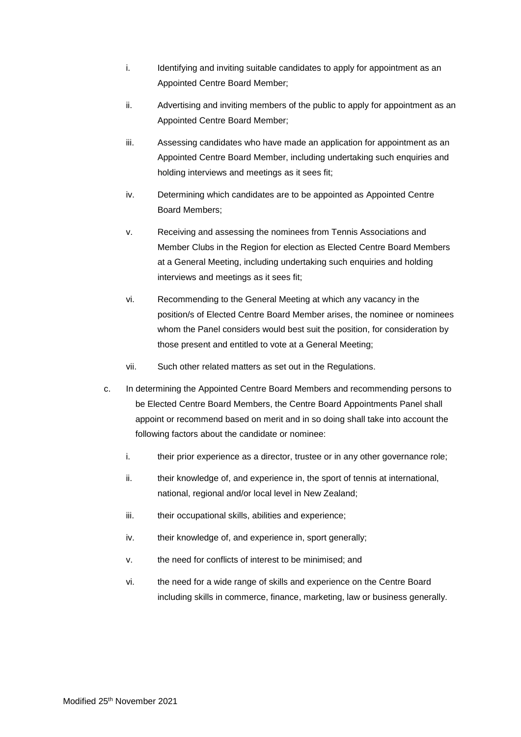- i. Identifying and inviting suitable candidates to apply for appointment as an Appointed Centre Board Member;
- ii. Advertising and inviting members of the public to apply for appointment as an Appointed Centre Board Member;
- iii. Assessing candidates who have made an application for appointment as an Appointed Centre Board Member, including undertaking such enquiries and holding interviews and meetings as it sees fit;
- iv. Determining which candidates are to be appointed as Appointed Centre Board Members;
- v. Receiving and assessing the nominees from Tennis Associations and Member Clubs in the Region for election as Elected Centre Board Members at a General Meeting, including undertaking such enquiries and holding interviews and meetings as it sees fit;
- vi. Recommending to the General Meeting at which any vacancy in the position/s of Elected Centre Board Member arises, the nominee or nominees whom the Panel considers would best suit the position, for consideration by those present and entitled to vote at a General Meeting;
- vii. Such other related matters as set out in the Regulations.
- c. In determining the Appointed Centre Board Members and recommending persons to be Elected Centre Board Members, the Centre Board Appointments Panel shall appoint or recommend based on merit and in so doing shall take into account the following factors about the candidate or nominee:
	- i. their prior experience as a director, trustee or in any other governance role;
	- ii. their knowledge of, and experience in, the sport of tennis at international, national, regional and/or local level in New Zealand;
	- iii. their occupational skills, abilities and experience:
	- iv. their knowledge of, and experience in, sport generally;
	- v. the need for conflicts of interest to be minimised; and
	- vi. the need for a wide range of skills and experience on the Centre Board including skills in commerce, finance, marketing, law or business generally.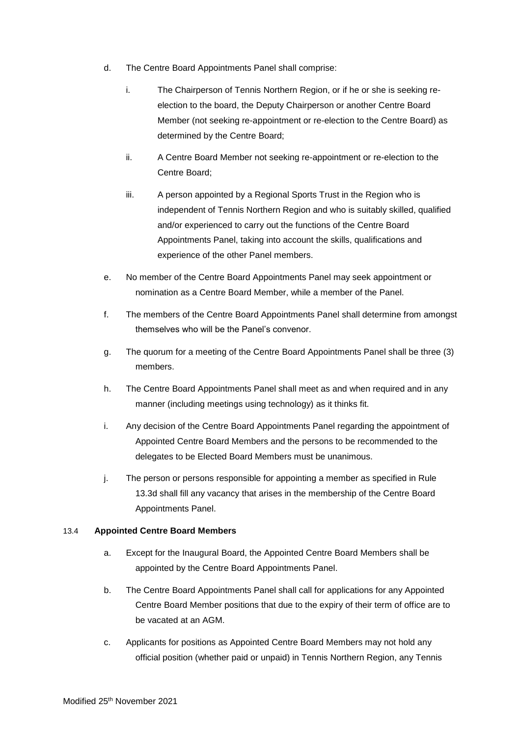- d. The Centre Board Appointments Panel shall comprise:
	- i. The Chairperson of Tennis Northern Region, or if he or she is seeking reelection to the board, the Deputy Chairperson or another Centre Board Member (not seeking re-appointment or re-election to the Centre Board) as determined by the Centre Board;
	- ii. A Centre Board Member not seeking re-appointment or re-election to the Centre Board;
	- iii. A person appointed by a Regional Sports Trust in the Region who is independent of Tennis Northern Region and who is suitably skilled, qualified and/or experienced to carry out the functions of the Centre Board Appointments Panel, taking into account the skills, qualifications and experience of the other Panel members.
- e. No member of the Centre Board Appointments Panel may seek appointment or nomination as a Centre Board Member, while a member of the Panel.
- f. The members of the Centre Board Appointments Panel shall determine from amongst themselves who will be the Panel's convenor.
- g. The quorum for a meeting of the Centre Board Appointments Panel shall be three (3) members.
- h. The Centre Board Appointments Panel shall meet as and when required and in any manner (including meetings using technology) as it thinks fit.
- i. Any decision of the Centre Board Appointments Panel regarding the appointment of Appointed Centre Board Members and the persons to be recommended to the delegates to be Elected Board Members must be unanimous.
- j. The person or persons responsible for appointing a member as specified in Rule 13.3d shall fill any vacancy that arises in the membership of the Centre Board Appointments Panel.

## 13.4 **Appointed Centre Board Members**

- a. Except for the Inaugural Board, the Appointed Centre Board Members shall be appointed by the Centre Board Appointments Panel.
- b. The Centre Board Appointments Panel shall call for applications for any Appointed Centre Board Member positions that due to the expiry of their term of office are to be vacated at an AGM.
- c. Applicants for positions as Appointed Centre Board Members may not hold any official position (whether paid or unpaid) in Tennis Northern Region, any Tennis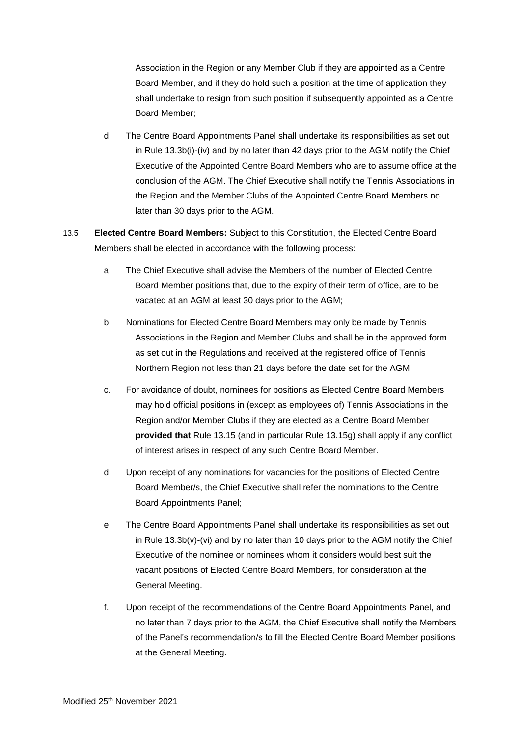Association in the Region or any Member Club if they are appointed as a Centre Board Member, and if they do hold such a position at the time of application they shall undertake to resign from such position if subsequently appointed as a Centre Board Member;

- d. The Centre Board Appointments Panel shall undertake its responsibilities as set out in Rule 13.3b(i)-(iv) and by no later than 42 days prior to the AGM notify the Chief Executive of the Appointed Centre Board Members who are to assume office at the conclusion of the AGM. The Chief Executive shall notify the Tennis Associations in the Region and the Member Clubs of the Appointed Centre Board Members no later than 30 days prior to the AGM.
- 13.5 **Elected Centre Board Members:** Subject to this Constitution, the Elected Centre Board Members shall be elected in accordance with the following process:
	- a. The Chief Executive shall advise the Members of the number of Elected Centre Board Member positions that, due to the expiry of their term of office, are to be vacated at an AGM at least 30 days prior to the AGM;
	- b. Nominations for Elected Centre Board Members may only be made by Tennis Associations in the Region and Member Clubs and shall be in the approved form as set out in the Regulations and received at the registered office of Tennis Northern Region not less than 21 days before the date set for the AGM;
	- c. For avoidance of doubt, nominees for positions as Elected Centre Board Members may hold official positions in (except as employees of) Tennis Associations in the Region and/or Member Clubs if they are elected as a Centre Board Member **provided that** Rule 13.15 (and in particular Rule 13.15g) shall apply if any conflict of interest arises in respect of any such Centre Board Member.
	- d. Upon receipt of any nominations for vacancies for the positions of Elected Centre Board Member/s, the Chief Executive shall refer the nominations to the Centre Board Appointments Panel;
	- e. The Centre Board Appointments Panel shall undertake its responsibilities as set out in Rule 13.3b(v)-(vi) and by no later than 10 days prior to the AGM notify the Chief Executive of the nominee or nominees whom it considers would best suit the vacant positions of Elected Centre Board Members, for consideration at the General Meeting.
	- f. Upon receipt of the recommendations of the Centre Board Appointments Panel, and no later than 7 days prior to the AGM, the Chief Executive shall notify the Members of the Panel's recommendation/s to fill the Elected Centre Board Member positions at the General Meeting.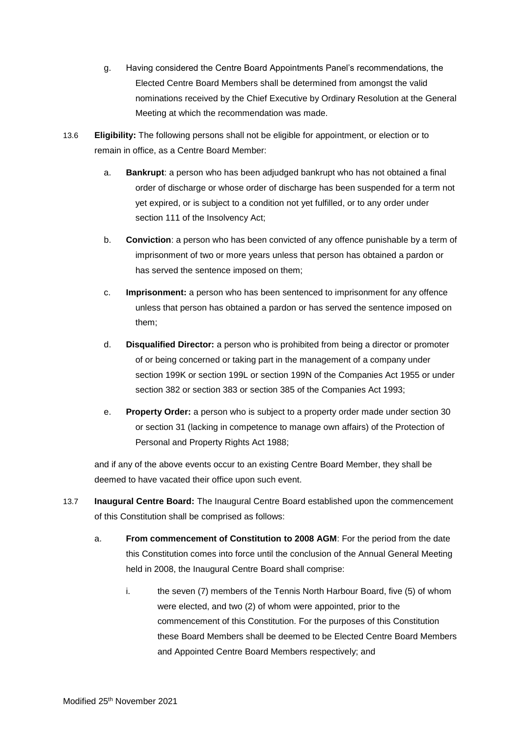- g. Having considered the Centre Board Appointments Panel's recommendations, the Elected Centre Board Members shall be determined from amongst the valid nominations received by the Chief Executive by Ordinary Resolution at the General Meeting at which the recommendation was made.
- 13.6 **Eligibility:** The following persons shall not be eligible for appointment, or election or to remain in office, as a Centre Board Member:
	- a. **Bankrupt**: a person who has been adjudged bankrupt who has not obtained a final order of discharge or whose order of discharge has been suspended for a term not yet expired, or is subject to a condition not yet fulfilled, or to any order under section 111 of the Insolvency Act;
	- b. **Conviction**: a person who has been convicted of any offence punishable by a term of imprisonment of two or more years unless that person has obtained a pardon or has served the sentence imposed on them;
	- c. **Imprisonment:** a person who has been sentenced to imprisonment for any offence unless that person has obtained a pardon or has served the sentence imposed on them;
	- d. **Disqualified Director:** a person who is prohibited from being a director or promoter of or being concerned or taking part in the management of a company under section 199K or section 199L or section 199N of the Companies Act 1955 or under section 382 or section 383 or section 385 of the Companies Act 1993;
	- e. **Property Order:** a person who is subject to a property order made under section 30 or section 31 (lacking in competence to manage own affairs) of the Protection of Personal and Property Rights Act 1988;

and if any of the above events occur to an existing Centre Board Member, they shall be deemed to have vacated their office upon such event.

- 13.7 **Inaugural Centre Board:** The Inaugural Centre Board established upon the commencement of this Constitution shall be comprised as follows:
	- a. **From commencement of Constitution to 2008 AGM**: For the period from the date this Constitution comes into force until the conclusion of the Annual General Meeting held in 2008, the Inaugural Centre Board shall comprise:
		- i. the seven (7) members of the Tennis North Harbour Board, five (5) of whom were elected, and two (2) of whom were appointed, prior to the commencement of this Constitution. For the purposes of this Constitution these Board Members shall be deemed to be Elected Centre Board Members and Appointed Centre Board Members respectively; and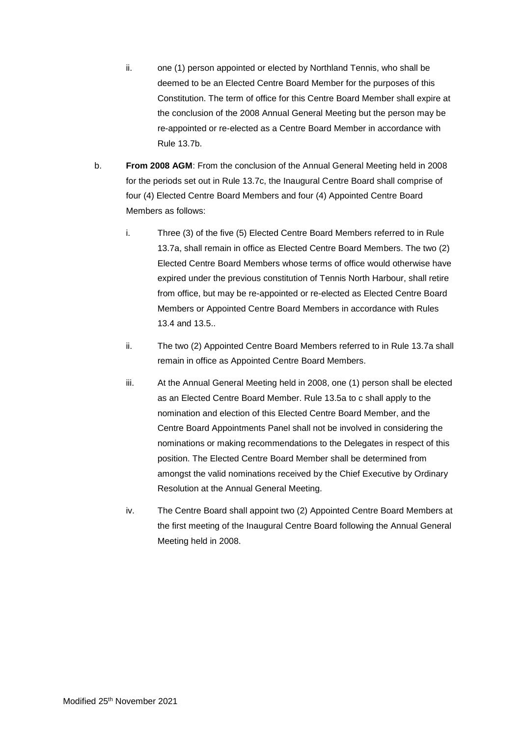- ii. one (1) person appointed or elected by Northland Tennis, who shall be deemed to be an Elected Centre Board Member for the purposes of this Constitution. The term of office for this Centre Board Member shall expire at the conclusion of the 2008 Annual General Meeting but the person may be re-appointed or re-elected as a Centre Board Member in accordance with Rule 13.7b.
- b. **From 2008 AGM**: From the conclusion of the Annual General Meeting held in 2008 for the periods set out in Rule 13.7c, the Inaugural Centre Board shall comprise of four (4) Elected Centre Board Members and four (4) Appointed Centre Board Members as follows:
	- i. Three (3) of the five (5) Elected Centre Board Members referred to in Rule 13.7a, shall remain in office as Elected Centre Board Members. The two (2) Elected Centre Board Members whose terms of office would otherwise have expired under the previous constitution of Tennis North Harbour, shall retire from office, but may be re-appointed or re-elected as Elected Centre Board Members or Appointed Centre Board Members in accordance with Rules 13.4 and 13.5..
	- ii. The two (2) Appointed Centre Board Members referred to in Rule 13.7a shall remain in office as Appointed Centre Board Members.
	- iii. At the Annual General Meeting held in 2008, one (1) person shall be elected as an Elected Centre Board Member. Rule 13.5a to c shall apply to the nomination and election of this Elected Centre Board Member, and the Centre Board Appointments Panel shall not be involved in considering the nominations or making recommendations to the Delegates in respect of this position. The Elected Centre Board Member shall be determined from amongst the valid nominations received by the Chief Executive by Ordinary Resolution at the Annual General Meeting.
	- iv. The Centre Board shall appoint two (2) Appointed Centre Board Members at the first meeting of the Inaugural Centre Board following the Annual General Meeting held in 2008.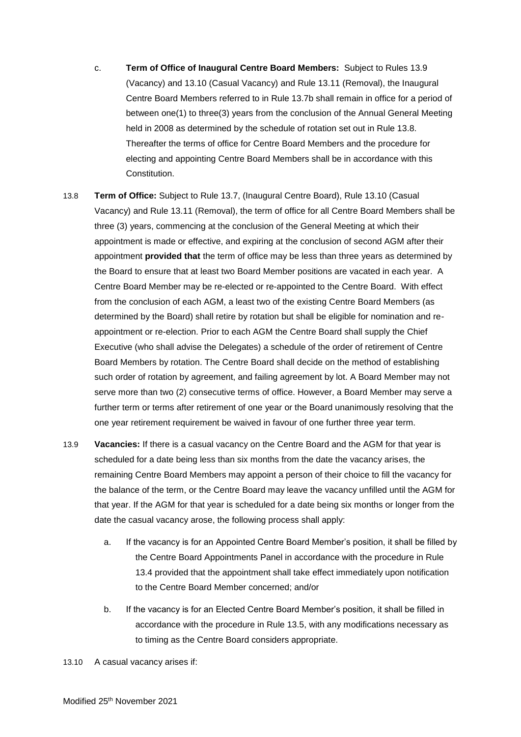- c. **Term of Office of Inaugural Centre Board Members:** Subject to Rules 13.9 (Vacancy) and 13.10 (Casual Vacancy) and Rule 13.11 (Removal), the Inaugural Centre Board Members referred to in Rule 13.7b shall remain in office for a period of between one(1) to three(3) years from the conclusion of the Annual General Meeting held in 2008 as determined by the schedule of rotation set out in Rule 13.8. Thereafter the terms of office for Centre Board Members and the procedure for electing and appointing Centre Board Members shall be in accordance with this Constitution.
- 13.8 **Term of Office:** Subject to Rule 13.7, (Inaugural Centre Board), Rule 13.10 (Casual Vacancy) and Rule 13.11 (Removal), the term of office for all Centre Board Members shall be three (3) years, commencing at the conclusion of the General Meeting at which their appointment is made or effective, and expiring at the conclusion of second AGM after their appointment **provided that** the term of office may be less than three years as determined by the Board to ensure that at least two Board Member positions are vacated in each year. A Centre Board Member may be re-elected or re-appointed to the Centre Board. With effect from the conclusion of each AGM, a least two of the existing Centre Board Members (as determined by the Board) shall retire by rotation but shall be eligible for nomination and reappointment or re-election. Prior to each AGM the Centre Board shall supply the Chief Executive (who shall advise the Delegates) a schedule of the order of retirement of Centre Board Members by rotation. The Centre Board shall decide on the method of establishing such order of rotation by agreement, and failing agreement by lot. A Board Member may not serve more than two (2) consecutive terms of office. However, a Board Member may serve a further term or terms after retirement of one year or the Board unanimously resolving that the one year retirement requirement be waived in favour of one further three year term.
- 13.9 **Vacancies:** If there is a casual vacancy on the Centre Board and the AGM for that year is scheduled for a date being less than six months from the date the vacancy arises, the remaining Centre Board Members may appoint a person of their choice to fill the vacancy for the balance of the term, or the Centre Board may leave the vacancy unfilled until the AGM for that year. If the AGM for that year is scheduled for a date being six months or longer from the date the casual vacancy arose, the following process shall apply:
	- a. If the vacancy is for an Appointed Centre Board Member's position, it shall be filled by the Centre Board Appointments Panel in accordance with the procedure in Rule 13.4 provided that the appointment shall take effect immediately upon notification to the Centre Board Member concerned; and/or
	- b. If the vacancy is for an Elected Centre Board Member's position, it shall be filled in accordance with the procedure in Rule 13.5, with any modifications necessary as to timing as the Centre Board considers appropriate.
- 13.10 A casual vacancy arises if: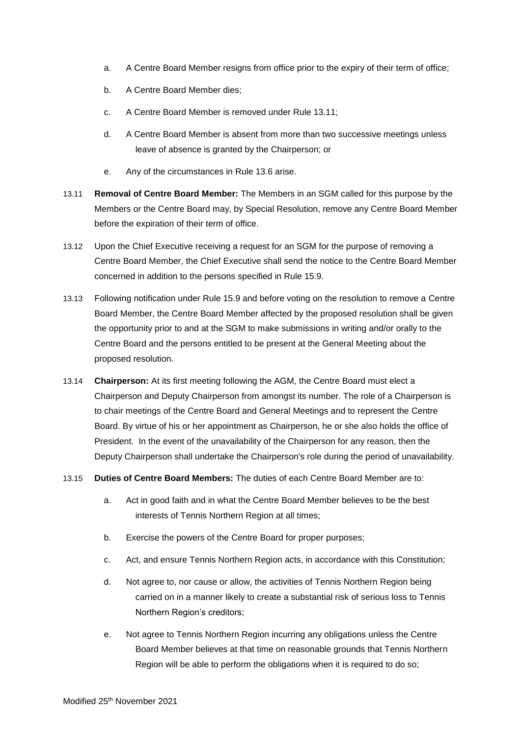- a. A Centre Board Member resigns from office prior to the expiry of their term of office;
- b. A Centre Board Member dies;
- c. A Centre Board Member is removed under Rule 13.11;
- d. A Centre Board Member is absent from more than two successive meetings unless leave of absence is granted by the Chairperson; or
- e. Any of the circumstances in Rule 13.6 arise.
- 13.11 **Removal of Centre Board Member:** The Members in an SGM called for this purpose by the Members or the Centre Board may, by Special Resolution, remove any Centre Board Member before the expiration of their term of office.
- 13.12 Upon the Chief Executive receiving a request for an SGM for the purpose of removing a Centre Board Member, the Chief Executive shall send the notice to the Centre Board Member concerned in addition to the persons specified in Rule 15.9.
- 13.13 Following notification under Rule 15.9 and before voting on the resolution to remove a Centre Board Member, the Centre Board Member affected by the proposed resolution shall be given the opportunity prior to and at the SGM to make submissions in writing and/or orally to the Centre Board and the persons entitled to be present at the General Meeting about the proposed resolution.
- 13.14 **Chairperson:** At its first meeting following the AGM, the Centre Board must elect a Chairperson and Deputy Chairperson from amongst its number. The role of a Chairperson is to chair meetings of the Centre Board and General Meetings and to represent the Centre Board. By virtue of his or her appointment as Chairperson, he or she also holds the office of President. In the event of the unavailability of the Chairperson for any reason, then the Deputy Chairperson shall undertake the Chairperson's role during the period of unavailability.
- 13.15 **Duties of Centre Board Members:** The duties of each Centre Board Member are to:
	- a. Act in good faith and in what the Centre Board Member believes to be the best interests of Tennis Northern Region at all times;
	- b. Exercise the powers of the Centre Board for proper purposes;
	- c. Act, and ensure Tennis Northern Region acts, in accordance with this Constitution;
	- d. Not agree to, nor cause or allow, the activities of Tennis Northern Region being carried on in a manner likely to create a substantial risk of serious loss to Tennis Northern Region's creditors;
	- e. Not agree to Tennis Northern Region incurring any obligations unless the Centre Board Member believes at that time on reasonable grounds that Tennis Northern Region will be able to perform the obligations when it is required to do so;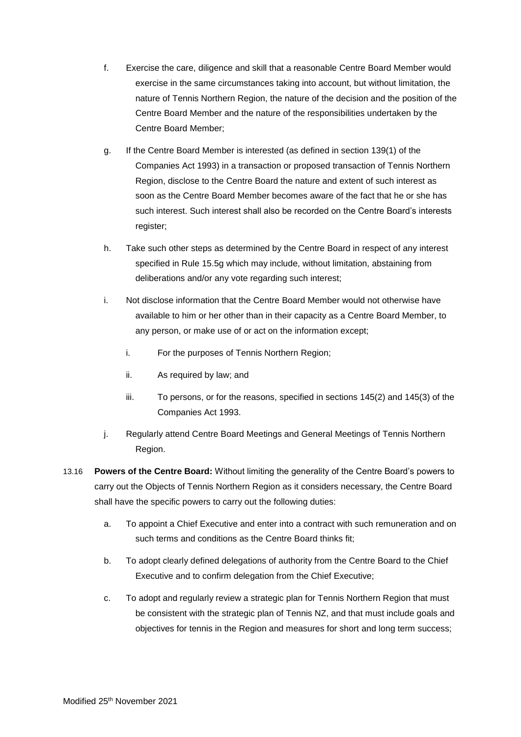- f. Exercise the care, diligence and skill that a reasonable Centre Board Member would exercise in the same circumstances taking into account, but without limitation, the nature of Tennis Northern Region, the nature of the decision and the position of the Centre Board Member and the nature of the responsibilities undertaken by the Centre Board Member;
- g. If the Centre Board Member is interested (as defined in section 139(1) of the Companies Act 1993) in a transaction or proposed transaction of Tennis Northern Region, disclose to the Centre Board the nature and extent of such interest as soon as the Centre Board Member becomes aware of the fact that he or she has such interest. Such interest shall also be recorded on the Centre Board's interests register;
- h. Take such other steps as determined by the Centre Board in respect of any interest specified in Rule 15.5g which may include, without limitation, abstaining from deliberations and/or any vote regarding such interest;
- i. Not disclose information that the Centre Board Member would not otherwise have available to him or her other than in their capacity as a Centre Board Member, to any person, or make use of or act on the information except;
	- i. For the purposes of Tennis Northern Region;
	- ii. As required by law; and
	- iii. To persons, or for the reasons, specified in sections 145(2) and 145(3) of the Companies Act 1993.
- j. Regularly attend Centre Board Meetings and General Meetings of Tennis Northern Region.
- 13.16 **Powers of the Centre Board:** Without limiting the generality of the Centre Board's powers to carry out the Objects of Tennis Northern Region as it considers necessary, the Centre Board shall have the specific powers to carry out the following duties:
	- a. To appoint a Chief Executive and enter into a contract with such remuneration and on such terms and conditions as the Centre Board thinks fit;
	- b. To adopt clearly defined delegations of authority from the Centre Board to the Chief Executive and to confirm delegation from the Chief Executive;
	- c. To adopt and regularly review a strategic plan for Tennis Northern Region that must be consistent with the strategic plan of Tennis NZ, and that must include goals and objectives for tennis in the Region and measures for short and long term success;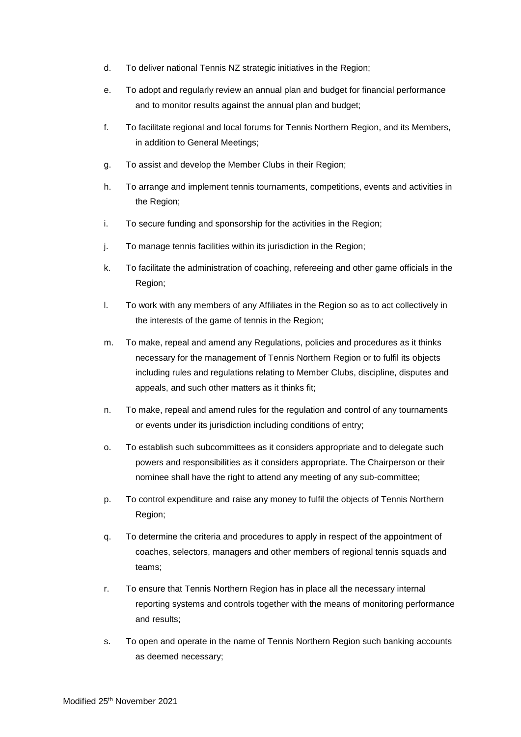- d. To deliver national Tennis NZ strategic initiatives in the Region;
- e. To adopt and regularly review an annual plan and budget for financial performance and to monitor results against the annual plan and budget;
- f. To facilitate regional and local forums for Tennis Northern Region, and its Members, in addition to General Meetings;
- g. To assist and develop the Member Clubs in their Region;
- h. To arrange and implement tennis tournaments, competitions, events and activities in the Region;
- i. To secure funding and sponsorship for the activities in the Region;
- j. To manage tennis facilities within its jurisdiction in the Region;
- k. To facilitate the administration of coaching, refereeing and other game officials in the Region;
- l. To work with any members of any Affiliates in the Region so as to act collectively in the interests of the game of tennis in the Region;
- m. To make, repeal and amend any Regulations, policies and procedures as it thinks necessary for the management of Tennis Northern Region or to fulfil its objects including rules and regulations relating to Member Clubs, discipline, disputes and appeals, and such other matters as it thinks fit;
- n. To make, repeal and amend rules for the regulation and control of any tournaments or events under its jurisdiction including conditions of entry;
- o. To establish such subcommittees as it considers appropriate and to delegate such powers and responsibilities as it considers appropriate. The Chairperson or their nominee shall have the right to attend any meeting of any sub-committee;
- p. To control expenditure and raise any money to fulfil the objects of Tennis Northern Region;
- q. To determine the criteria and procedures to apply in respect of the appointment of coaches, selectors, managers and other members of regional tennis squads and teams;
- r. To ensure that Tennis Northern Region has in place all the necessary internal reporting systems and controls together with the means of monitoring performance and results;
- s. To open and operate in the name of Tennis Northern Region such banking accounts as deemed necessary;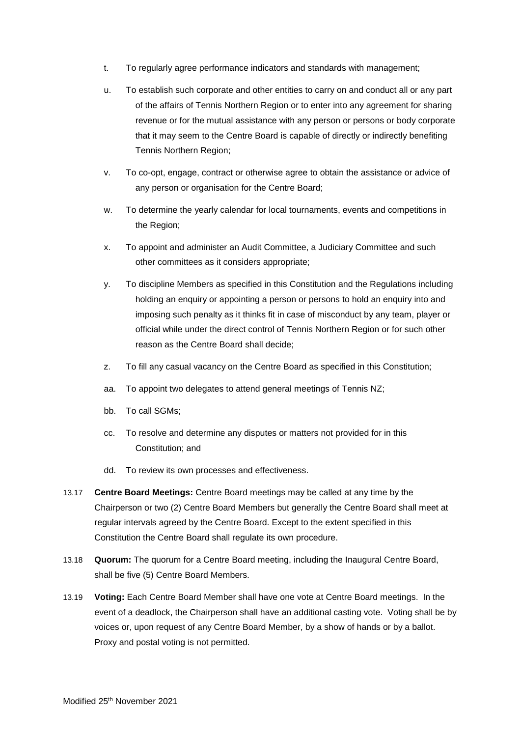- t. To regularly agree performance indicators and standards with management;
- u. To establish such corporate and other entities to carry on and conduct all or any part of the affairs of Tennis Northern Region or to enter into any agreement for sharing revenue or for the mutual assistance with any person or persons or body corporate that it may seem to the Centre Board is capable of directly or indirectly benefiting Tennis Northern Region;
- v. To co-opt, engage, contract or otherwise agree to obtain the assistance or advice of any person or organisation for the Centre Board;
- w. To determine the yearly calendar for local tournaments, events and competitions in the Region;
- x. To appoint and administer an Audit Committee, a Judiciary Committee and such other committees as it considers appropriate;
- y. To discipline Members as specified in this Constitution and the Regulations including holding an enquiry or appointing a person or persons to hold an enquiry into and imposing such penalty as it thinks fit in case of misconduct by any team, player or official while under the direct control of Tennis Northern Region or for such other reason as the Centre Board shall decide;
- z. To fill any casual vacancy on the Centre Board as specified in this Constitution;
- aa. To appoint two delegates to attend general meetings of Tennis NZ;
- bb. To call SGMs;
- cc. To resolve and determine any disputes or matters not provided for in this Constitution; and
- dd. To review its own processes and effectiveness.
- 13.17 **Centre Board Meetings:** Centre Board meetings may be called at any time by the Chairperson or two (2) Centre Board Members but generally the Centre Board shall meet at regular intervals agreed by the Centre Board. Except to the extent specified in this Constitution the Centre Board shall regulate its own procedure.
- 13.18 **Quorum:** The quorum for a Centre Board meeting, including the Inaugural Centre Board, shall be five (5) Centre Board Members.
- 13.19 **Voting:** Each Centre Board Member shall have one vote at Centre Board meetings. In the event of a deadlock, the Chairperson shall have an additional casting vote. Voting shall be by voices or, upon request of any Centre Board Member, by a show of hands or by a ballot. Proxy and postal voting is not permitted.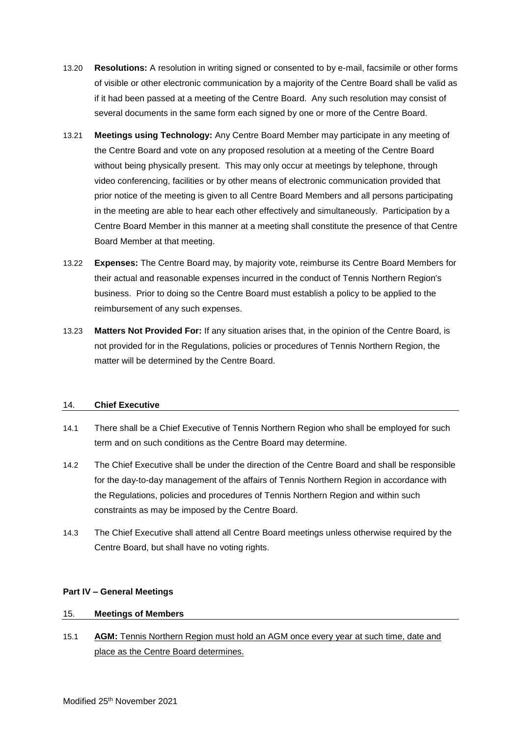- 13.20 **Resolutions:** A resolution in writing signed or consented to by e-mail, facsimile or other forms of visible or other electronic communication by a majority of the Centre Board shall be valid as if it had been passed at a meeting of the Centre Board. Any such resolution may consist of several documents in the same form each signed by one or more of the Centre Board.
- 13.21 **Meetings using Technology:** Any Centre Board Member may participate in any meeting of the Centre Board and vote on any proposed resolution at a meeting of the Centre Board without being physically present. This may only occur at meetings by telephone, through video conferencing, facilities or by other means of electronic communication provided that prior notice of the meeting is given to all Centre Board Members and all persons participating in the meeting are able to hear each other effectively and simultaneously. Participation by a Centre Board Member in this manner at a meeting shall constitute the presence of that Centre Board Member at that meeting.
- 13.22 **Expenses:** The Centre Board may, by majority vote, reimburse its Centre Board Members for their actual and reasonable expenses incurred in the conduct of Tennis Northern Region's business. Prior to doing so the Centre Board must establish a policy to be applied to the reimbursement of any such expenses.
- 13.23 **Matters Not Provided For:** If any situation arises that, in the opinion of the Centre Board, is not provided for in the Regulations, policies or procedures of Tennis Northern Region, the matter will be determined by the Centre Board.

## 14. **Chief Executive**

- 14.1 There shall be a Chief Executive of Tennis Northern Region who shall be employed for such term and on such conditions as the Centre Board may determine.
- 14.2 The Chief Executive shall be under the direction of the Centre Board and shall be responsible for the day-to-day management of the affairs of Tennis Northern Region in accordance with the Regulations, policies and procedures of Tennis Northern Region and within such constraints as may be imposed by the Centre Board.
- 14.3 The Chief Executive shall attend all Centre Board meetings unless otherwise required by the Centre Board, but shall have no voting rights.

## **Part IV – General Meetings**

#### 15. **Meetings of Members**

15.1 **AGM:** Tennis Northern Region must hold an AGM once every year at such time, date and place as the Centre Board determines.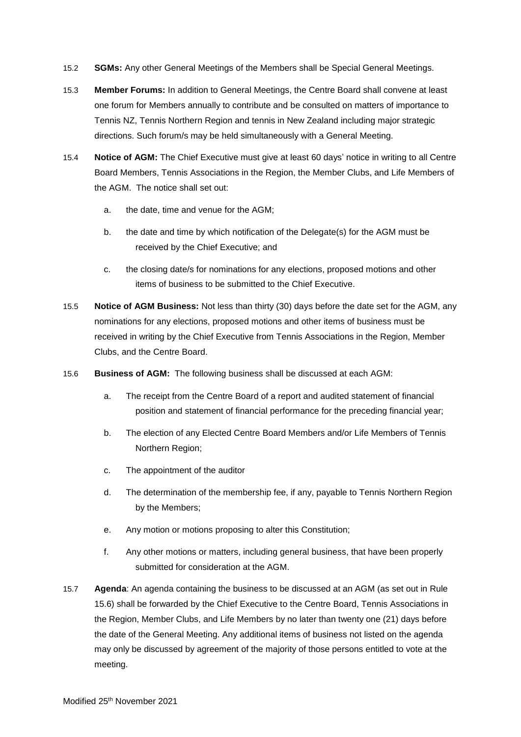- 15.2 **SGMs:** Any other General Meetings of the Members shall be Special General Meetings.
- 15.3 **Member Forums:** In addition to General Meetings, the Centre Board shall convene at least one forum for Members annually to contribute and be consulted on matters of importance to Tennis NZ, Tennis Northern Region and tennis in New Zealand including major strategic directions. Such forum/s may be held simultaneously with a General Meeting.
- 15.4 **Notice of AGM:** The Chief Executive must give at least 60 days' notice in writing to all Centre Board Members, Tennis Associations in the Region, the Member Clubs, and Life Members of the AGM. The notice shall set out:
	- a. the date, time and venue for the AGM;
	- b. the date and time by which notification of the Delegate(s) for the AGM must be received by the Chief Executive; and
	- c. the closing date/s for nominations for any elections, proposed motions and other items of business to be submitted to the Chief Executive.
- 15.5 **Notice of AGM Business:** Not less than thirty (30) days before the date set for the AGM, any nominations for any elections, proposed motions and other items of business must be received in writing by the Chief Executive from Tennis Associations in the Region, Member Clubs, and the Centre Board.
- 15.6 **Business of AGM:** The following business shall be discussed at each AGM:
	- a. The receipt from the Centre Board of a report and audited statement of financial position and statement of financial performance for the preceding financial year;
	- b. The election of any Elected Centre Board Members and/or Life Members of Tennis Northern Region;
	- c. The appointment of the auditor
	- d. The determination of the membership fee, if any, payable to Tennis Northern Region by the Members;
	- e. Any motion or motions proposing to alter this Constitution;
	- f. Any other motions or matters, including general business, that have been properly submitted for consideration at the AGM.
- 15.7 **Agenda**: An agenda containing the business to be discussed at an AGM (as set out in Rule 15.6) shall be forwarded by the Chief Executive to the Centre Board, Tennis Associations in the Region, Member Clubs, and Life Members by no later than twenty one (21) days before the date of the General Meeting. Any additional items of business not listed on the agenda may only be discussed by agreement of the majority of those persons entitled to vote at the meeting.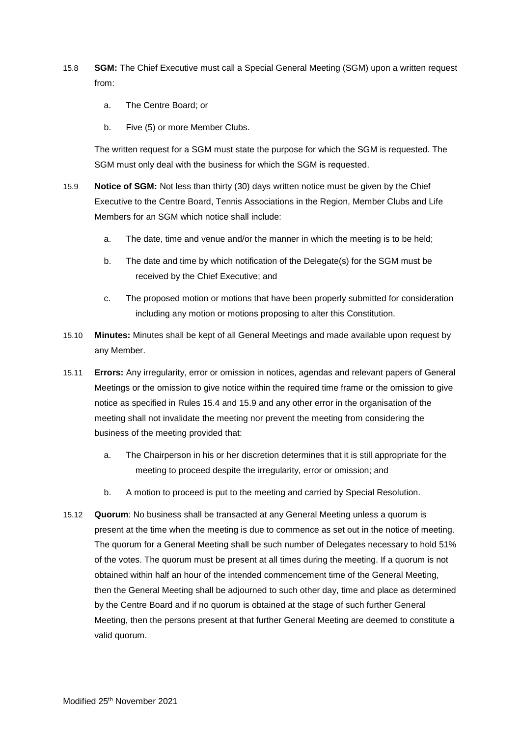- 15.8 **SGM:** The Chief Executive must call a Special General Meeting (SGM) upon a written request from:
	- a. The Centre Board; or
	- b. Five (5) or more Member Clubs.

The written request for a SGM must state the purpose for which the SGM is requested. The SGM must only deal with the business for which the SGM is requested.

- 15.9 **Notice of SGM:** Not less than thirty (30) days written notice must be given by the Chief Executive to the Centre Board, Tennis Associations in the Region, Member Clubs and Life Members for an SGM which notice shall include:
	- a. The date, time and venue and/or the manner in which the meeting is to be held;
	- b. The date and time by which notification of the Delegate(s) for the SGM must be received by the Chief Executive; and
	- c. The proposed motion or motions that have been properly submitted for consideration including any motion or motions proposing to alter this Constitution.
- 15.10 **Minutes:** Minutes shall be kept of all General Meetings and made available upon request by any Member.
- 15.11 **Errors:** Any irregularity, error or omission in notices, agendas and relevant papers of General Meetings or the omission to give notice within the required time frame or the omission to give notice as specified in Rules 15.4 and 15.9 and any other error in the organisation of the meeting shall not invalidate the meeting nor prevent the meeting from considering the business of the meeting provided that:
	- a. The Chairperson in his or her discretion determines that it is still appropriate for the meeting to proceed despite the irregularity, error or omission; and
	- b. A motion to proceed is put to the meeting and carried by Special Resolution.
- 15.12 **Quorum**: No business shall be transacted at any General Meeting unless a quorum is present at the time when the meeting is due to commence as set out in the notice of meeting. The quorum for a General Meeting shall be such number of Delegates necessary to hold 51% of the votes. The quorum must be present at all times during the meeting. If a quorum is not obtained within half an hour of the intended commencement time of the General Meeting, then the General Meeting shall be adjourned to such other day, time and place as determined by the Centre Board and if no quorum is obtained at the stage of such further General Meeting, then the persons present at that further General Meeting are deemed to constitute a valid quorum.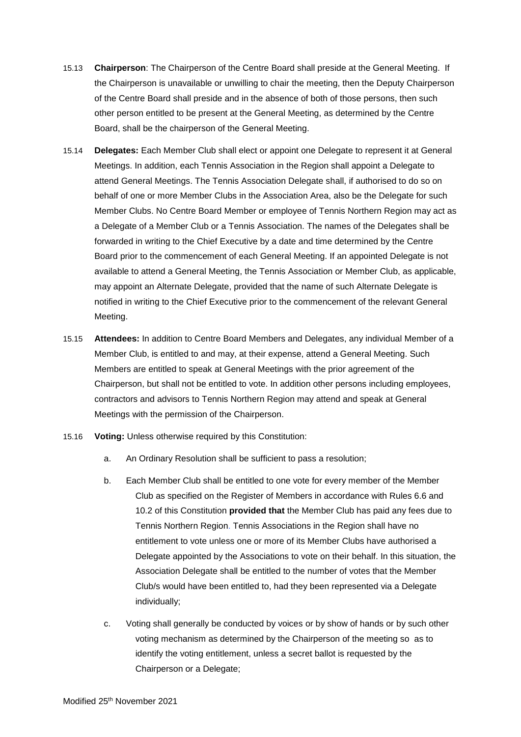- 15.13 **Chairperson**: The Chairperson of the Centre Board shall preside at the General Meeting. If the Chairperson is unavailable or unwilling to chair the meeting, then the Deputy Chairperson of the Centre Board shall preside and in the absence of both of those persons, then such other person entitled to be present at the General Meeting, as determined by the Centre Board, shall be the chairperson of the General Meeting.
- 15.14 **Delegates:** Each Member Club shall elect or appoint one Delegate to represent it at General Meetings. In addition, each Tennis Association in the Region shall appoint a Delegate to attend General Meetings. The Tennis Association Delegate shall, if authorised to do so on behalf of one or more Member Clubs in the Association Area, also be the Delegate for such Member Clubs. No Centre Board Member or employee of Tennis Northern Region may act as a Delegate of a Member Club or a Tennis Association. The names of the Delegates shall be forwarded in writing to the Chief Executive by a date and time determined by the Centre Board prior to the commencement of each General Meeting. If an appointed Delegate is not available to attend a General Meeting, the Tennis Association or Member Club, as applicable, may appoint an Alternate Delegate, provided that the name of such Alternate Delegate is notified in writing to the Chief Executive prior to the commencement of the relevant General Meeting.
- 15.15 **Attendees:** In addition to Centre Board Members and Delegates, any individual Member of a Member Club, is entitled to and may, at their expense, attend a General Meeting. Such Members are entitled to speak at General Meetings with the prior agreement of the Chairperson, but shall not be entitled to vote. In addition other persons including employees, contractors and advisors to Tennis Northern Region may attend and speak at General Meetings with the permission of the Chairperson.
- 15.16 **Voting:** Unless otherwise required by this Constitution:
	- a. An Ordinary Resolution shall be sufficient to pass a resolution;
	- b. Each Member Club shall be entitled to one vote for every member of the Member Club as specified on the Register of Members in accordance with Rules 6.6 and 10.2 of this Constitution **provided that** the Member Club has paid any fees due to Tennis Northern Region. Tennis Associations in the Region shall have no entitlement to vote unless one or more of its Member Clubs have authorised a Delegate appointed by the Associations to vote on their behalf. In this situation, the Association Delegate shall be entitled to the number of votes that the Member Club/s would have been entitled to, had they been represented via a Delegate individually;
	- c. Voting shall generally be conducted by voices or by show of hands or by such other voting mechanism as determined by the Chairperson of the meeting so as to identify the voting entitlement, unless a secret ballot is requested by the Chairperson or a Delegate;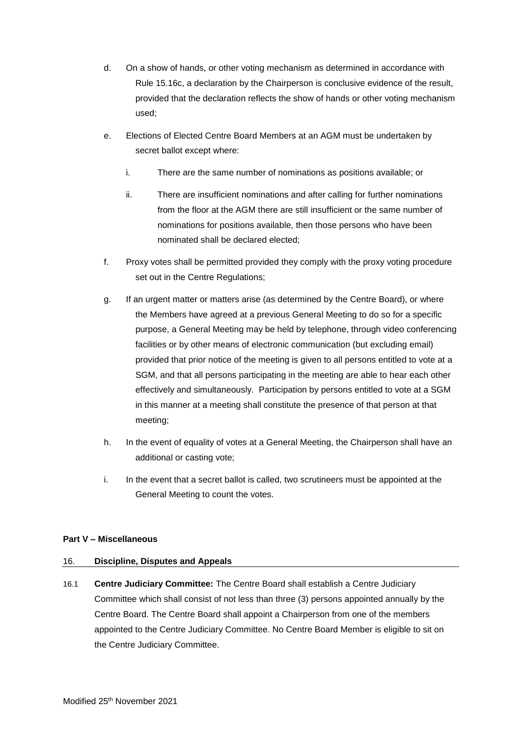- d. On a show of hands, or other voting mechanism as determined in accordance with Rule 15.16c, a declaration by the Chairperson is conclusive evidence of the result, provided that the declaration reflects the show of hands or other voting mechanism used;
- e. Elections of Elected Centre Board Members at an AGM must be undertaken by secret ballot except where:
	- i. There are the same number of nominations as positions available; or
	- ii. There are insufficient nominations and after calling for further nominations from the floor at the AGM there are still insufficient or the same number of nominations for positions available, then those persons who have been nominated shall be declared elected;
- f. Proxy votes shall be permitted provided they comply with the proxy voting procedure set out in the Centre Regulations:
- g. If an urgent matter or matters arise (as determined by the Centre Board), or where the Members have agreed at a previous General Meeting to do so for a specific purpose, a General Meeting may be held by telephone, through video conferencing facilities or by other means of electronic communication (but excluding email) provided that prior notice of the meeting is given to all persons entitled to vote at a SGM, and that all persons participating in the meeting are able to hear each other effectively and simultaneously. Participation by persons entitled to vote at a SGM in this manner at a meeting shall constitute the presence of that person at that meeting;
- h. In the event of equality of votes at a General Meeting, the Chairperson shall have an additional or casting vote;
- i. In the event that a secret ballot is called, two scrutineers must be appointed at the General Meeting to count the votes.

## **Part V – Miscellaneous**

## 16. **Discipline, Disputes and Appeals**

16.1 **Centre Judiciary Committee:** The Centre Board shall establish a Centre Judiciary Committee which shall consist of not less than three (3) persons appointed annually by the Centre Board. The Centre Board shall appoint a Chairperson from one of the members appointed to the Centre Judiciary Committee. No Centre Board Member is eligible to sit on the Centre Judiciary Committee.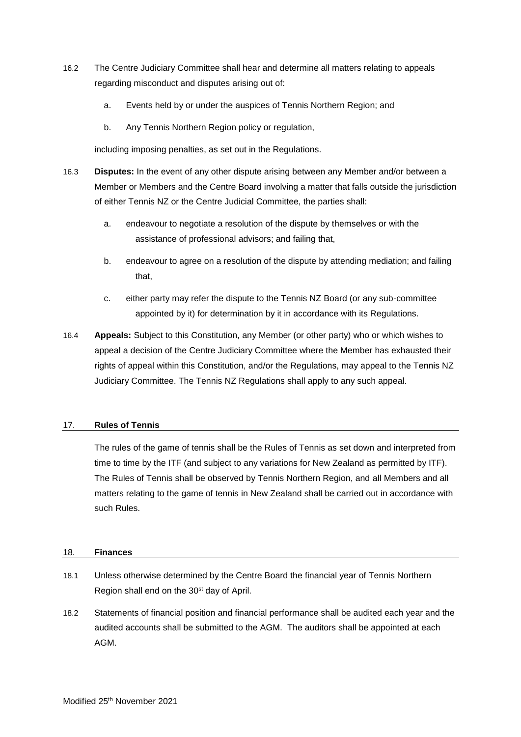- 16.2 The Centre Judiciary Committee shall hear and determine all matters relating to appeals regarding misconduct and disputes arising out of:
	- a. Events held by or under the auspices of Tennis Northern Region; and
	- b. Any Tennis Northern Region policy or regulation,

including imposing penalties, as set out in the Regulations.

- 16.3 **Disputes:** In the event of any other dispute arising between any Member and/or between a Member or Members and the Centre Board involving a matter that falls outside the jurisdiction of either Tennis NZ or the Centre Judicial Committee, the parties shall:
	- a. endeavour to negotiate a resolution of the dispute by themselves or with the assistance of professional advisors; and failing that,
	- b. endeavour to agree on a resolution of the dispute by attending mediation; and failing that,
	- c. either party may refer the dispute to the Tennis NZ Board (or any sub-committee appointed by it) for determination by it in accordance with its Regulations.
- 16.4 **Appeals:** Subject to this Constitution, any Member (or other party) who or which wishes to appeal a decision of the Centre Judiciary Committee where the Member has exhausted their rights of appeal within this Constitution, and/or the Regulations, may appeal to the Tennis NZ Judiciary Committee. The Tennis NZ Regulations shall apply to any such appeal.

## 17. **Rules of Tennis**

The rules of the game of tennis shall be the Rules of Tennis as set down and interpreted from time to time by the ITF (and subject to any variations for New Zealand as permitted by ITF). The Rules of Tennis shall be observed by Tennis Northern Region, and all Members and all matters relating to the game of tennis in New Zealand shall be carried out in accordance with such Rules.

#### 18. **Finances**

- 18.1 Unless otherwise determined by the Centre Board the financial year of Tennis Northern Region shall end on the 30st day of April.
- 18.2 Statements of financial position and financial performance shall be audited each year and the audited accounts shall be submitted to the AGM. The auditors shall be appointed at each AGM.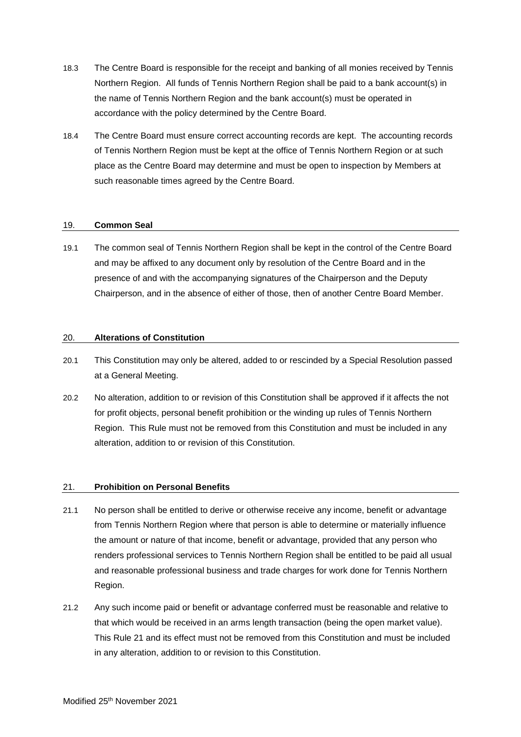- 18.3 The Centre Board is responsible for the receipt and banking of all monies received by Tennis Northern Region. All funds of Tennis Northern Region shall be paid to a bank account(s) in the name of Tennis Northern Region and the bank account(s) must be operated in accordance with the policy determined by the Centre Board.
- 18.4 The Centre Board must ensure correct accounting records are kept. The accounting records of Tennis Northern Region must be kept at the office of Tennis Northern Region or at such place as the Centre Board may determine and must be open to inspection by Members at such reasonable times agreed by the Centre Board.

## 19. **Common Seal**

19.1 The common seal of Tennis Northern Region shall be kept in the control of the Centre Board and may be affixed to any document only by resolution of the Centre Board and in the presence of and with the accompanying signatures of the Chairperson and the Deputy Chairperson, and in the absence of either of those, then of another Centre Board Member.

#### 20. **Alterations of Constitution**

- 20.1 This Constitution may only be altered, added to or rescinded by a Special Resolution passed at a General Meeting.
- 20.2 No alteration, addition to or revision of this Constitution shall be approved if it affects the not for profit objects, personal benefit prohibition or the winding up rules of Tennis Northern Region. This Rule must not be removed from this Constitution and must be included in any alteration, addition to or revision of this Constitution.

## 21. **Prohibition on Personal Benefits**

- 21.1 No person shall be entitled to derive or otherwise receive any income, benefit or advantage from Tennis Northern Region where that person is able to determine or materially influence the amount or nature of that income, benefit or advantage, provided that any person who renders professional services to Tennis Northern Region shall be entitled to be paid all usual and reasonable professional business and trade charges for work done for Tennis Northern Region.
- 21.2 Any such income paid or benefit or advantage conferred must be reasonable and relative to that which would be received in an arms length transaction (being the open market value). This Rule 21 and its effect must not be removed from this Constitution and must be included in any alteration, addition to or revision to this Constitution.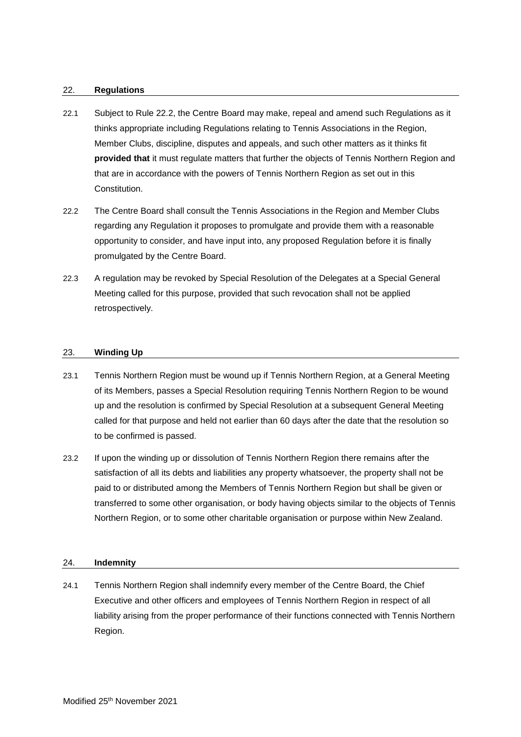#### 22. **Regulations**

- 22.1 Subject to Rule 22.2, the Centre Board may make, repeal and amend such Regulations as it thinks appropriate including Regulations relating to Tennis Associations in the Region, Member Clubs, discipline, disputes and appeals, and such other matters as it thinks fit **provided that** it must regulate matters that further the objects of Tennis Northern Region and that are in accordance with the powers of Tennis Northern Region as set out in this Constitution.
- 22.2 The Centre Board shall consult the Tennis Associations in the Region and Member Clubs regarding any Regulation it proposes to promulgate and provide them with a reasonable opportunity to consider, and have input into, any proposed Regulation before it is finally promulgated by the Centre Board.
- 22.3 A regulation may be revoked by Special Resolution of the Delegates at a Special General Meeting called for this purpose, provided that such revocation shall not be applied retrospectively.

#### 23. **Winding Up**

- 23.1 Tennis Northern Region must be wound up if Tennis Northern Region, at a General Meeting of its Members, passes a Special Resolution requiring Tennis Northern Region to be wound up and the resolution is confirmed by Special Resolution at a subsequent General Meeting called for that purpose and held not earlier than 60 days after the date that the resolution so to be confirmed is passed.
- 23.2 If upon the winding up or dissolution of Tennis Northern Region there remains after the satisfaction of all its debts and liabilities any property whatsoever, the property shall not be paid to or distributed among the Members of Tennis Northern Region but shall be given or transferred to some other organisation, or body having objects similar to the objects of Tennis Northern Region, or to some other charitable organisation or purpose within New Zealand.

#### 24. **Indemnity**

24.1 Tennis Northern Region shall indemnify every member of the Centre Board, the Chief Executive and other officers and employees of Tennis Northern Region in respect of all liability arising from the proper performance of their functions connected with Tennis Northern Region.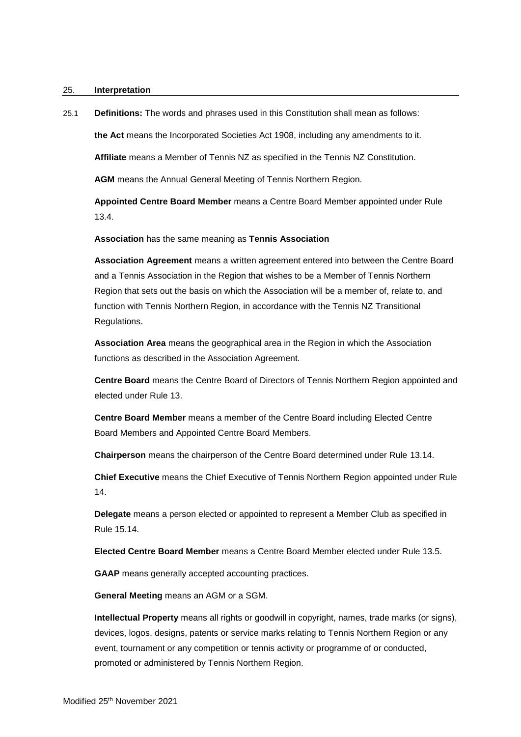#### 25. **Interpretation**

25.1 **Definitions:** The words and phrases used in this Constitution shall mean as follows:

**the Act** means the Incorporated Societies Act 1908, including any amendments to it.

**Affiliate** means a Member of Tennis NZ as specified in the Tennis NZ Constitution.

**AGM** means the Annual General Meeting of Tennis Northern Region.

**Appointed Centre Board Member** means a Centre Board Member appointed under Rule 13.4.

**Association** has the same meaning as **Tennis Association**

**Association Agreement** means a written agreement entered into between the Centre Board and a Tennis Association in the Region that wishes to be a Member of Tennis Northern Region that sets out the basis on which the Association will be a member of, relate to, and function with Tennis Northern Region, in accordance with the Tennis NZ Transitional Regulations.

**Association Area** means the geographical area in the Region in which the Association functions as described in the Association Agreement.

**Centre Board** means the Centre Board of Directors of Tennis Northern Region appointed and elected under Rule 13.

**Centre Board Member** means a member of the Centre Board including Elected Centre Board Members and Appointed Centre Board Members.

**Chairperson** means the chairperson of the Centre Board determined under Rule 13.14.

**Chief Executive** means the Chief Executive of Tennis Northern Region appointed under Rule 14.

**Delegate** means a person elected or appointed to represent a Member Club as specified in Rule 15.14.

**Elected Centre Board Member** means a Centre Board Member elected under Rule 13.5.

**GAAP** means generally accepted accounting practices.

**General Meeting** means an AGM or a SGM.

**Intellectual Property** means all rights or goodwill in copyright, names, trade marks (or signs), devices, logos, designs, patents or service marks relating to Tennis Northern Region or any event, tournament or any competition or tennis activity or programme of or conducted, promoted or administered by Tennis Northern Region.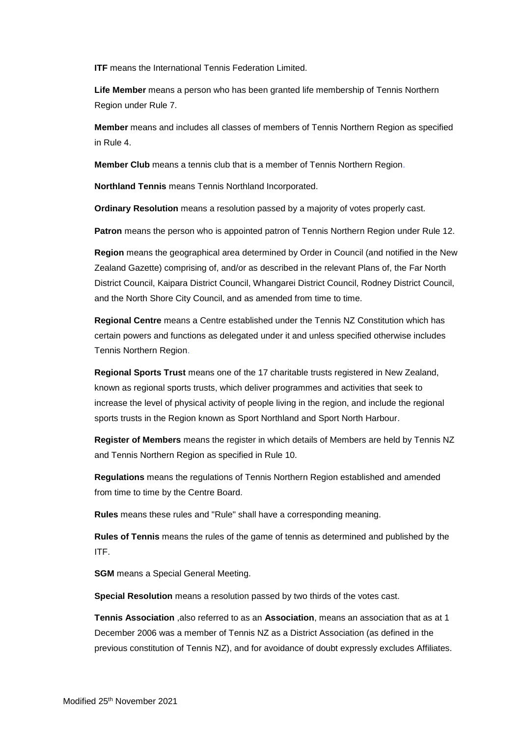**ITF** means the International Tennis Federation Limited.

**Life Member** means a person who has been granted life membership of Tennis Northern Region under Rule 7.

**Member** means and includes all classes of members of Tennis Northern Region as specified in Rule 4.

**Member Club** means a tennis club that is a member of Tennis Northern Region.

**Northland Tennis** means Tennis Northland Incorporated.

**Ordinary Resolution** means a resolution passed by a majority of votes properly cast.

**Patron** means the person who is appointed patron of Tennis Northern Region under Rule 12.

**Region** means the geographical area determined by Order in Council (and notified in the New Zealand Gazette) comprising of, and/or as described in the relevant Plans of, the Far North District Council, Kaipara District Council, Whangarei District Council, Rodney District Council, and the North Shore City Council, and as amended from time to time.

**Regional Centre** means a Centre established under the Tennis NZ Constitution which has certain powers and functions as delegated under it and unless specified otherwise includes Tennis Northern Region.

**Regional Sports Trust** means one of the 17 charitable trusts registered in New Zealand, known as regional sports trusts, which deliver programmes and activities that seek to increase the level of physical activity of people living in the region, and include the regional sports trusts in the Region known as Sport Northland and Sport North Harbour.

**Register of Members** means the register in which details of Members are held by Tennis NZ and Tennis Northern Region as specified in Rule 10.

**Regulations** means the regulations of Tennis Northern Region established and amended from time to time by the Centre Board.

**Rules** means these rules and "Rule" shall have a corresponding meaning.

**Rules of Tennis** means the rules of the game of tennis as determined and published by the ITF.

**SGM** means a Special General Meeting.

**Special Resolution** means a resolution passed by two thirds of the votes cast.

**Tennis Association** ,also referred to as an **Association**, means an association that as at 1 December 2006 was a member of Tennis NZ as a District Association (as defined in the previous constitution of Tennis NZ), and for avoidance of doubt expressly excludes Affiliates.